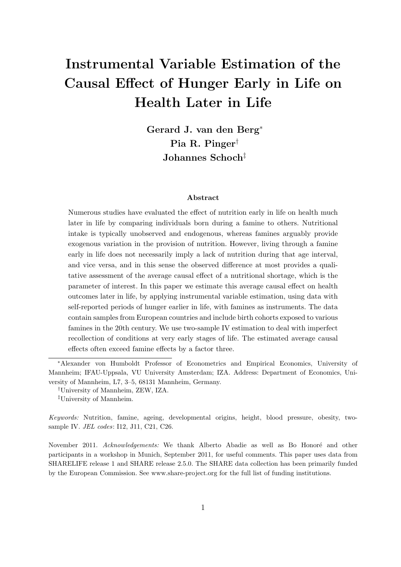# **Instrumental Variable Estimation of the Causal Effect of Hunger Early in Life on Health Later in Life**

**Gerard J. van den Berg***<sup>∗</sup>* **Pia R. Pinger***†* **Johannes Schoch***‡*

#### **Abstract**

Numerous studies have evaluated the effect of nutrition early in life on health much later in life by comparing individuals born during a famine to others. Nutritional intake is typically unobserved and endogenous, whereas famines arguably provide exogenous variation in the provision of nutrition. However, living through a famine early in life does not necessarily imply a lack of nutrition during that age interval, and vice versa, and in this sense the observed difference at most provides a qualitative assessment of the average causal effect of a nutritional shortage, which is the parameter of interest. In this paper we estimate this average causal effect on health outcomes later in life, by applying instrumental variable estimation, using data with self-reported periods of hunger earlier in life, with famines as instruments. The data contain samples from European countries and include birth cohorts exposed to various famines in the 20th century. We use two-sample IV estimation to deal with imperfect recollection of conditions at very early stages of life. The estimated average causal effects often exceed famine effects by a factor three.

*<sup>∗</sup>*Alexander von Humboldt Professor of Econometrics and Empirical Economics, University of Mannheim; IFAU-Uppsala, VU University Amsterdam; IZA. Address: Department of Economics, University of Mannheim, L7, 3–5, 68131 Mannheim, Germany.

November 2011. *Acknowledgements:* We thank Alberto Abadie as well as Bo Honoré and other participants in a workshop in Munich, September 2011, for useful comments. This paper uses data from SHARELIFE release 1 and SHARE release 2.5.0. The SHARE data collection has been primarily funded by the European Commission. See www.share-project.org for the full list of funding institutions.

*<sup>†</sup>*University of Mannheim, ZEW, IZA.

*<sup>‡</sup>*University of Mannheim.

*Keywords:* Nutrition, famine, ageing, developmental origins, height, blood pressure, obesity, twosample IV. *JEL codes*: I12, J11, C21, C26.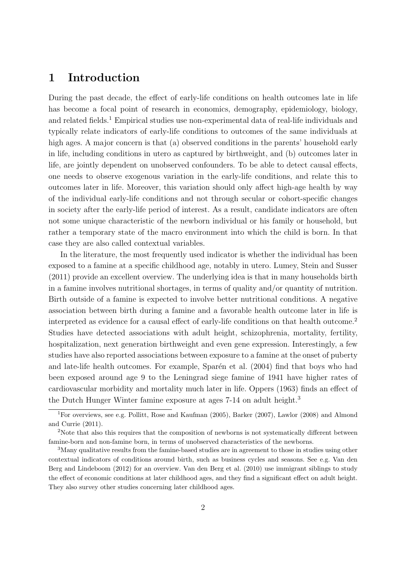## **1 Introduction**

During the past decade, the effect of early-life conditions on health outcomes late in life has become a focal point of research in economics, demography, epidemiology, biology, and related fields.<sup>1</sup> Empirical studies use non-experimental data of real-life individuals and typically relate indicators of early-life conditions to outcomes of the same individuals at high ages. A major concern is that (a) observed conditions in the parents' household early in life, including conditions in utero as captured by birthweight, and (b) outcomes later in life, are jointly dependent on unobserved confounders. To be able to detect causal effects, one needs to observe exogenous variation in the early-life conditions, and relate this to outcomes later in life. Moreover, this variation should only affect high-age health by way of the individual early-life conditions and not through secular or cohort-specific changes in society after the early-life period of interest. As a result, candidate indicators are often not some unique characteristic of the newborn individual or his family or household, but rather a temporary state of the macro environment into which the child is born. In that case they are also called contextual variables.

In the literature, the most frequently used indicator is whether the individual has been exposed to a famine at a specific childhood age, notably in utero. Lumey, Stein and Susser (2011) provide an excellent overview. The underlying idea is that in many households birth in a famine involves nutritional shortages, in terms of quality and/or quantity of nutrition. Birth outside of a famine is expected to involve better nutritional conditions. A negative association between birth during a famine and a favorable health outcome later in life is interpreted as evidence for a causal effect of early-life conditions on that health outcome.<sup>2</sup> Studies have detected associations with adult height, schizophrenia, mortality, fertility, hospitalization, next generation birthweight and even gene expression. Interestingly, a few studies have also reported associations between exposure to a famine at the onset of puberty and late-life health outcomes. For example, Sparén et al. (2004) find that boys who had been exposed around age 9 to the Leningrad siege famine of 1941 have higher rates of cardiovascular morbidity and mortality much later in life. Oppers (1963) finds an effect of the Dutch Hunger Winter famine exposure at ages 7-14 on adult height.<sup>3</sup>

<sup>1</sup>For overviews, see e.g. Pollitt, Rose and Kaufman (2005), Barker (2007), Lawlor (2008) and Almond and Currie (2011).

<sup>&</sup>lt;sup>2</sup>Note that also this requires that the composition of newborns is not systematically different between famine-born and non-famine born, in terms of unobserved characteristics of the newborns.

<sup>&</sup>lt;sup>3</sup>Many qualitative results from the famine-based studies are in agreement to those in studies using other contextual indicators of conditions around birth, such as business cycles and seasons. See e.g. Van den Berg and Lindeboom (2012) for an overview. Van den Berg et al. (2010) use immigrant siblings to study the effect of economic conditions at later childhood ages, and they find a significant effect on adult height. They also survey other studies concerning later childhood ages.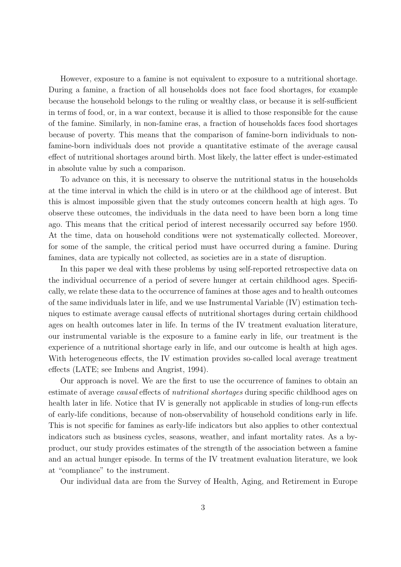However, exposure to a famine is not equivalent to exposure to a nutritional shortage. During a famine, a fraction of all households does not face food shortages, for example because the household belongs to the ruling or wealthy class, or because it is self-sufficient in terms of food, or, in a war context, because it is allied to those responsible for the cause of the famine. Similarly, in non-famine eras, a fraction of households faces food shortages because of poverty. This means that the comparison of famine-born individuals to nonfamine-born individuals does not provide a quantitative estimate of the average causal effect of nutritional shortages around birth. Most likely, the latter effect is under-estimated in absolute value by such a comparison.

To advance on this, it is necessary to observe the nutritional status in the households at the time interval in which the child is in utero or at the childhood age of interest. But this is almost impossible given that the study outcomes concern health at high ages. To observe these outcomes, the individuals in the data need to have been born a long time ago. This means that the critical period of interest necessarily occurred say before 1950. At the time, data on household conditions were not systematically collected. Moreover, for some of the sample, the critical period must have occurred during a famine. During famines, data are typically not collected, as societies are in a state of disruption.

In this paper we deal with these problems by using self-reported retrospective data on the individual occurrence of a period of severe hunger at certain childhood ages. Specifically, we relate these data to the occurrence of famines at those ages and to health outcomes of the same individuals later in life, and we use Instrumental Variable (IV) estimation techniques to estimate average causal effects of nutritional shortages during certain childhood ages on health outcomes later in life. In terms of the IV treatment evaluation literature, our instrumental variable is the exposure to a famine early in life, our treatment is the experience of a nutritional shortage early in life, and our outcome is health at high ages. With heterogeneous effects, the IV estimation provides so-called local average treatment effects (LATE; see Imbens and Angrist, 1994).

Our approach is novel. We are the first to use the occurrence of famines to obtain an estimate of average *causal* effects of *nutritional shortages* during specific childhood ages on health later in life. Notice that IV is generally not applicable in studies of long-run effects of early-life conditions, because of non-observability of household conditions early in life. This is not specific for famines as early-life indicators but also applies to other contextual indicators such as business cycles, seasons, weather, and infant mortality rates. As a byproduct, our study provides estimates of the strength of the association between a famine and an actual hunger episode. In terms of the IV treatment evaluation literature, we look at "compliance" to the instrument.

Our individual data are from the Survey of Health, Aging, and Retirement in Europe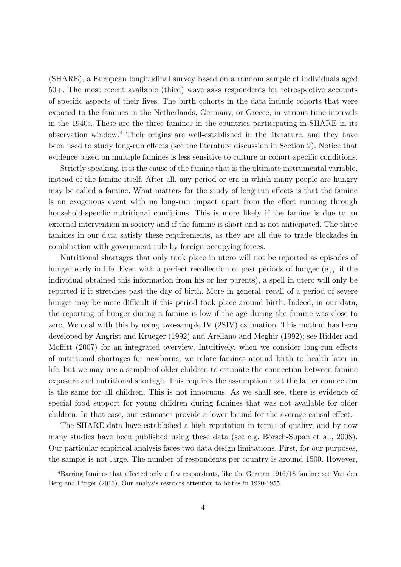(SHARE), a European longitudinal survey based on a random sample of individuals aged 50+. The most recent available (third) wave asks respondents for retrospective accounts of specific aspects of their lives. The birth cohorts in the data include cohorts that were exposed to the famines in the Netherlands, Germany, or Greece, in various time intervals in the 1940s. These are the three famines in the countries participating in SHARE in its observation window.<sup>4</sup> Their origins are well-established in the literature, and they have been used to study long-run effects (see the literature discussion in Section 2). Notice that evidence based on multiple famines is less sensitive to culture or cohort-specific conditions.

Strictly speaking, it is the cause of the famine that is the ultimate instrumental variable, instead of the famine itself. After all, any period or era in which many people are hungry may be called a famine. What matters for the study of long run effects is that the famine is an exogenous event with no long-run impact apart from the effect running through household-specific nutritional conditions. This is more likely if the famine is due to an external intervention in society and if the famine is short and is not anticipated. The three famines in our data satisfy these requirements, as they are all due to trade blockades in combination with government rule by foreign occupying forces.

Nutritional shortages that only took place in utero will not be reported as episodes of hunger early in life. Even with a perfect recollection of past periods of hunger (e.g. if the individual obtained this information from his or her parents), a spell in utero will only be reported if it stretches past the day of birth. More in general, recall of a period of severe hunger may be more difficult if this period took place around birth. Indeed, in our data, the reporting of hunger during a famine is low if the age during the famine was close to zero. We deal with this by using two-sample IV (2SIV) estimation. This method has been developed by Angrist and Krueger (1992) and Arellano and Meghir (1992); see Ridder and Moffitt (2007) for an integrated overview. Intuitively, when we consider long-run effects of nutritional shortages for newborns, we relate famines around birth to health later in life, but we may use a sample of older children to estimate the connection between famine exposure and nutritional shortage. This requires the assumption that the latter connection is the same for all children. This is not innocuous. As we shall see, there is evidence of special food support for young children during famines that was not available for older children. In that case, our estimates provide a lower bound for the average causal effect.

The SHARE data have established a high reputation in terms of quality, and by now many studies have been published using these data (see e.g. Börsch-Supan et al., 2008). Our particular empirical analysis faces two data design limitations. First, for our purposes, the sample is not large. The number of respondents per country is around 1500. However,

<sup>4</sup>Barring famines that affected only a few respondents, like the German 1916/18 famine; see Van den Berg and Pinger (2011). Our analysis restricts attention to births in 1920-1955.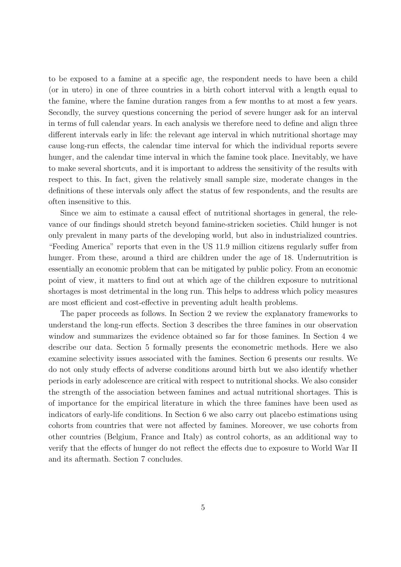to be exposed to a famine at a specific age, the respondent needs to have been a child (or in utero) in one of three countries in a birth cohort interval with a length equal to the famine, where the famine duration ranges from a few months to at most a few years. Secondly, the survey questions concerning the period of severe hunger ask for an interval in terms of full calendar years. In each analysis we therefore need to define and align three different intervals early in life: the relevant age interval in which nutritional shortage may cause long-run effects, the calendar time interval for which the individual reports severe hunger, and the calendar time interval in which the famine took place. Inevitably, we have to make several shortcuts, and it is important to address the sensitivity of the results with respect to this. In fact, given the relatively small sample size, moderate changes in the definitions of these intervals only affect the status of few respondents, and the results are often insensitive to this.

Since we aim to estimate a causal effect of nutritional shortages in general, the relevance of our findings should stretch beyond famine-stricken societies. Child hunger is not only prevalent in many parts of the developing world, but also in industrialized countries. "Feeding America" reports that even in the US 11.9 million citizens regularly suffer from hunger. From these, around a third are children under the age of 18. Undernutrition is essentially an economic problem that can be mitigated by public policy. From an economic point of view, it matters to find out at which age of the children exposure to nutritional shortages is most detrimental in the long run. This helps to address which policy measures are most efficient and cost-effective in preventing adult health problems.

The paper proceeds as follows. In Section 2 we review the explanatory frameworks to understand the long-run effects. Section 3 describes the three famines in our observation window and summarizes the evidence obtained so far for those famines. In Section 4 we describe our data. Section 5 formally presents the econometric methods. Here we also examine selectivity issues associated with the famines. Section 6 presents our results. We do not only study effects of adverse conditions around birth but we also identify whether periods in early adolescence are critical with respect to nutritional shocks. We also consider the strength of the association between famines and actual nutritional shortages. This is of importance for the empirical literature in which the three famines have been used as indicators of early-life conditions. In Section 6 we also carry out placebo estimations using cohorts from countries that were not affected by famines. Moreover, we use cohorts from other countries (Belgium, France and Italy) as control cohorts, as an additional way to verify that the effects of hunger do not reflect the effects due to exposure to World War II and its aftermath. Section 7 concludes.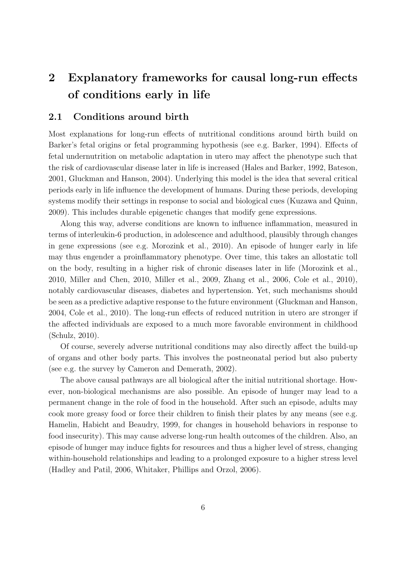## **2 Explanatory frameworks for causal long-run effects of conditions early in life**

## **2.1 Conditions around birth**

Most explanations for long-run effects of nutritional conditions around birth build on Barker's fetal origins or fetal programming hypothesis (see e.g. Barker, 1994). Effects of fetal undernutrition on metabolic adaptation in utero may affect the phenotype such that the risk of cardiovascular disease later in life is increased (Hales and Barker, 1992, Bateson, 2001, Gluckman and Hanson, 2004). Underlying this model is the idea that several critical periods early in life influence the development of humans. During these periods, developing systems modify their settings in response to social and biological cues (Kuzawa and Quinn, 2009). This includes durable epigenetic changes that modify gene expressions.

Along this way, adverse conditions are known to influence inflammation, measured in terms of interleukin-6 production, in adolescence and adulthood, plausibly through changes in gene expressions (see e.g. Morozink et al., 2010). An episode of hunger early in life may thus engender a proinflammatory phenotype. Over time, this takes an allostatic toll on the body, resulting in a higher risk of chronic diseases later in life (Morozink et al., 2010, Miller and Chen, 2010, Miller et al., 2009, Zhang et al., 2006, Cole et al., 2010), notably cardiovascular diseases, diabetes and hypertension. Yet, such mechanisms should be seen as a predictive adaptive response to the future environment (Gluckman and Hanson, 2004, Cole et al., 2010). The long-run effects of reduced nutrition in utero are stronger if the affected individuals are exposed to a much more favorable environment in childhood (Schulz, 2010).

Of course, severely adverse nutritional conditions may also directly affect the build-up of organs and other body parts. This involves the postneonatal period but also puberty (see e.g. the survey by Cameron and Demerath, 2002).

The above causal pathways are all biological after the initial nutritional shortage. However, non-biological mechanisms are also possible. An episode of hunger may lead to a permanent change in the role of food in the household. After such an episode, adults may cook more greasy food or force their children to finish their plates by any means (see e.g. Hamelin, Habicht and Beaudry, 1999, for changes in household behaviors in response to food insecurity). This may cause adverse long-run health outcomes of the children. Also, an episode of hunger may induce fights for resources and thus a higher level of stress, changing within-household relationships and leading to a prolonged exposure to a higher stress level (Hadley and Patil, 2006, Whitaker, Phillips and Orzol, 2006).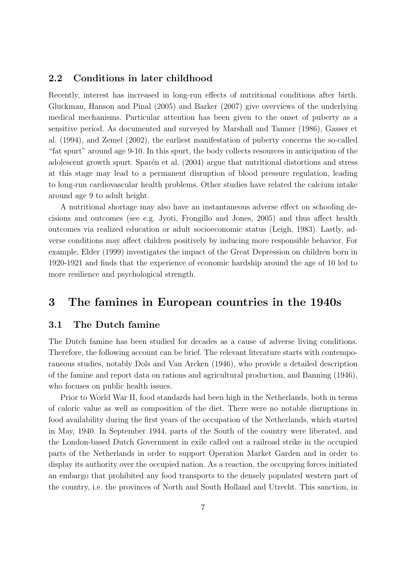### **2.2 Conditions in later childhood**

Recently, interest has increased in long-run effects of nutritional conditions after birth. Gluckman, Hanson and Pinal (2005) and Barker (2007) give overviews of the underlying medical mechanisms. Particular attention has been given to the onset of puberty as a sensitive period. As documented and surveyed by Marshall and Tanner (1986), Gasser et al. (1994), and Zemel (2002), the earliest manifestation of puberty concerns the so-called "fat spurt" around age 9-10. In this spurt, the body collects resources in anticipation of the adolescent growth spurt. Sparén et al.  $(2004)$  argue that nutritional distortions and stress at this stage may lead to a permanent disruption of blood pressure regulation, leading to long-run cardiovascular health problems. Other studies have related the calcium intake around age 9 to adult height.

A nutritional shortage may also have an instantaneous adverse effect on schooling decisions and outcomes (see e.g. Jyoti, Frongillo and Jones, 2005) and thus affect health outcomes via realized education or adult socioeconomic status (Leigh, 1983). Lastly, adverse conditions may affect children positively by inducing more responsible behavior. For example, Elder (1999) investigates the impact of the Great Depression on children born in 1920-1921 and finds that the experience of economic hardship around the age of 10 led to more resilience and psychological strength.

## **3 The famines in European countries in the 1940s**

### **3.1 The Dutch famine**

The Dutch famine has been studied for decades as a cause of adverse living conditions. Therefore, the following account can be brief. The relevant literature starts with contemporaneous studies, notably Dols and Van Arcken (1946), who provide a detailed description of the famine and report data on rations and agricultural production, and Banning (1946), who focuses on public health issues.

Prior to World War II, food standards had been high in the Netherlands, both in terms of caloric value as well as composition of the diet. There were no notable disruptions in food availability during the first years of the occupation of the Netherlands, which started in May, 1940. In September 1944, parts of the South of the country were liberated, and the London-based Dutch Government in exile called out a railroad strike in the occupied parts of the Netherlands in order to support Operation Market Garden and in order to display its authority over the occupied nation. As a reaction, the occupying forces initiated an embargo that prohibited any food transports to the densely populated western part of the country, i.e. the provinces of North and South Holland and Utrecht. This sanction, in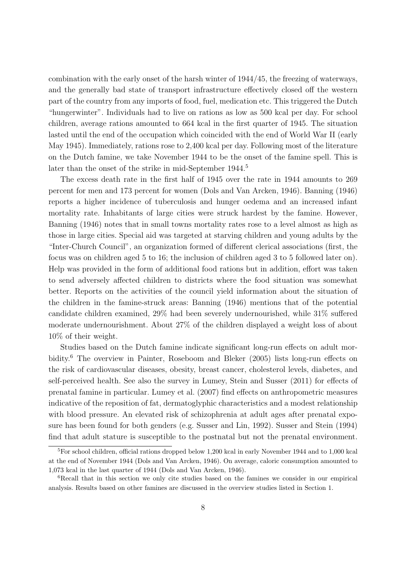combination with the early onset of the harsh winter of 1944/45, the freezing of waterways, and the generally bad state of transport infrastructure effectively closed off the western part of the country from any imports of food, fuel, medication etc. This triggered the Dutch "hungerwinter". Individuals had to live on rations as low as 500 kcal per day. For school children, average rations amounted to 664 kcal in the first quarter of 1945. The situation lasted until the end of the occupation which coincided with the end of World War II (early May 1945). Immediately, rations rose to 2,400 kcal per day. Following most of the literature on the Dutch famine, we take November 1944 to be the onset of the famine spell. This is later than the onset of the strike in mid-September 1944.<sup>5</sup>

The excess death rate in the first half of 1945 over the rate in 1944 amounts to 269 percent for men and 173 percent for women (Dols and Van Arcken, 1946). Banning (1946) reports a higher incidence of tuberculosis and hunger oedema and an increased infant mortality rate. Inhabitants of large cities were struck hardest by the famine. However, Banning (1946) notes that in small towns mortality rates rose to a level almost as high as those in large cities. Special aid was targeted at starving children and young adults by the "Inter-Church Council", an organization formed of different clerical associations (first, the focus was on children aged 5 to 16; the inclusion of children aged 3 to 5 followed later on). Help was provided in the form of additional food rations but in addition, effort was taken to send adversely affected children to districts where the food situation was somewhat better. Reports on the activities of the council yield information about the situation of the children in the famine-struck areas: Banning (1946) mentions that of the potential candidate children examined, 29% had been severely undernourished, while 31% suffered moderate undernourishment. About 27% of the children displayed a weight loss of about 10% of their weight.

Studies based on the Dutch famine indicate significant long-run effects on adult morbidity.<sup>6</sup> The overview in Painter, Roseboom and Bleker (2005) lists long-run effects on the risk of cardiovascular diseases, obesity, breast cancer, cholesterol levels, diabetes, and self-perceived health. See also the survey in Lumey, Stein and Susser (2011) for effects of prenatal famine in particular. Lumey et al. (2007) find effects on anthropometric measures indicative of the reposition of fat, dermatoglyphic characteristics and a modest relationship with blood pressure. An elevated risk of schizophrenia at adult ages after prenatal exposure has been found for both genders (e.g. Susser and Lin, 1992). Susser and Stein (1994) find that adult stature is susceptible to the postnatal but not the prenatal environment.

<sup>5</sup>For school children, official rations dropped below 1,200 kcal in early November 1944 and to 1,000 kcal at the end of November 1944 (Dols and Van Arcken, 1946). On average, caloric consumption amounted to 1,073 kcal in the last quarter of 1944 (Dols and Van Arcken, 1946).

<sup>&</sup>lt;sup>6</sup>Recall that in this section we only cite studies based on the famines we consider in our empirical analysis. Results based on other famines are discussed in the overview studies listed in Section 1.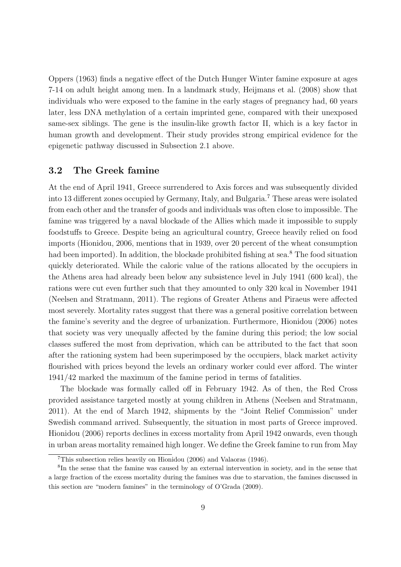Oppers (1963) finds a negative effect of the Dutch Hunger Winter famine exposure at ages 7-14 on adult height among men. In a landmark study, Heijmans et al. (2008) show that individuals who were exposed to the famine in the early stages of pregnancy had, 60 years later, less DNA methylation of a certain imprinted gene, compared with their unexposed same-sex siblings. The gene is the insulin-like growth factor II, which is a key factor in human growth and development. Their study provides strong empirical evidence for the epigenetic pathway discussed in Subsection 2.1 above.

## **3.2 The Greek famine**

At the end of April 1941, Greece surrendered to Axis forces and was subsequently divided into 13 different zones occupied by Germany, Italy, and Bulgaria.<sup>7</sup> These areas were isolated from each other and the transfer of goods and individuals was often close to impossible. The famine was triggered by a naval blockade of the Allies which made it impossible to supply foodstuffs to Greece. Despite being an agricultural country, Greece heavily relied on food imports (Hionidou, 2006, mentions that in 1939, over 20 percent of the wheat consumption had been imported). In addition, the blockade prohibited fishing at sea.<sup>8</sup> The food situation quickly deteriorated. While the caloric value of the rations allocated by the occupiers in the Athens area had already been below any subsistence level in July 1941 (600 kcal), the rations were cut even further such that they amounted to only 320 kcal in November 1941 (Neelsen and Stratmann, 2011). The regions of Greater Athens and Piraeus were affected most severely. Mortality rates suggest that there was a general positive correlation between the famine's severity and the degree of urbanization. Furthermore, Hionidou (2006) notes that society was very unequally affected by the famine during this period; the low social classes suffered the most from deprivation, which can be attributed to the fact that soon after the rationing system had been superimposed by the occupiers, black market activity flourished with prices beyond the levels an ordinary worker could ever afford. The winter 1941/42 marked the maximum of the famine period in terms of fatalities.

The blockade was formally called off in February 1942. As of then, the Red Cross provided assistance targeted mostly at young children in Athens (Neelsen and Stratmann, 2011). At the end of March 1942, shipments by the "Joint Relief Commission" under Swedish command arrived. Subsequently, the situation in most parts of Greece improved. Hionidou (2006) reports declines in excess mortality from April 1942 onwards, even though in urban areas mortality remained high longer. We define the Greek famine to run from May

<sup>7</sup>This subsection relies heavily on Hionidou (2006) and Valaoras (1946).

<sup>8</sup> In the sense that the famine was caused by an external intervention in society, and in the sense that a large fraction of the excess mortality during the famines was due to starvation, the famines discussed in this section are "modern famines" in the terminology of O'Grada (2009).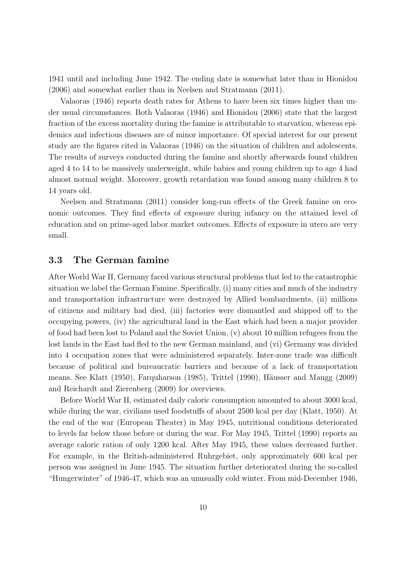1941 until and including June 1942. The ending date is somewhat later than in Hionidou (2006) and somewhat earlier than in Neelsen and Stratmann (2011).

Valaoras (1946) reports death rates for Athens to have been six times higher than under usual circumstances. Both Valaoras (1946) and Hionidou (2006) state that the largest fraction of the excess mortality during the famine is attributable to starvation, whereas epidemics and infectious diseases are of minor importance. Of special interest for our present study are the figures cited in Valaoras (1946) on the situation of children and adolescents. The results of surveys conducted during the famine and shortly afterwards found children aged 4 to 14 to be massively underweight, while babies and young children up to age 4 had almost normal weight. Moreover, growth retardation was found among many children 8 to 14 years old.

Neelsen and Stratmann (2011) consider long-run effects of the Greek famine on economic outcomes. They find effects of exposure during infancy on the attained level of education and on prime-aged labor market outcomes. Effects of exposure in utero are very small.

## **3.3 The German famine**

After World War II, Germany faced various structural problems that led to the catastrophic situation we label the German Famine. Specifically, (i) many cities and much of the industry and transportation infrastructure were destroyed by Allied bombardments, (ii) millions of citizens and military had died, (iii) factories were dismantled and shipped off to the occupying powers, (iv) the agricultural land in the East which had been a major provider of food had been lost to Poland and the Soviet Union, (v) about 10 million refugees from the lost lands in the East had fled to the new German mainland, and (vi) Germany was divided into 4 occupation zones that were administered separately. Inter-zone trade was difficult because of political and bureaucratic barriers and because of a lack of transportation means. See Klatt (1950), Farquharson (1985), Trittel (1990), Häusser and Maugg (2009) and Reichardt and Zierenberg (2009) for overviews.

Before World War II, estimated daily caloric consumption amounted to about 3000 kcal, while during the war, civilians used foodstuffs of about 2500 kcal per day (Klatt, 1950). At the end of the war (European Theater) in May 1945, nutritional conditions deteriorated to levels far below those before or during the war. For May 1945, Trittel (1990) reports an average caloric ration of only 1200 kcal. After May 1945, these values decreased further. For example, in the British-administered Ruhrgebiet, only approximately 600 kcal per person was assigned in June 1945. The situation further deteriorated during the so-called "Hungerwinter" of 1946-47, which was an unusually cold winter. From mid-December 1946,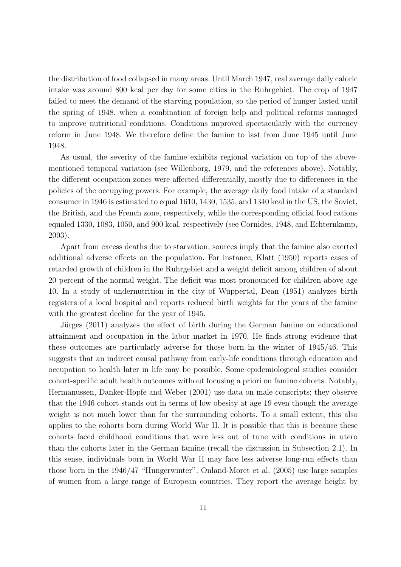the distribution of food collapsed in many areas. Until March 1947, real average daily caloric intake was around 800 kcal per day for some cities in the Ruhrgebiet. The crop of 1947 failed to meet the demand of the starving population, so the period of hunger lasted until the spring of 1948, when a combination of foreign help and political reforms managed to improve nutritional conditions. Conditions improved spectacularly with the currency reform in June 1948. We therefore define the famine to last from June 1945 until June 1948.

As usual, the severity of the famine exhibits regional variation on top of the abovementioned temporal variation (see Willenborg, 1979, and the references above). Notably, the different occupation zones were affected differentially, mostly due to differences in the policies of the occupying powers. For example, the average daily food intake of a standard consumer in 1946 is estimated to equal 1610, 1430, 1535, and 1340 kcal in the US, the Soviet, the British, and the French zone, respectively, while the corresponding official food rations equaled 1330, 1083, 1050, and 900 kcal, respectively (see Cornides, 1948, and Echternkamp, 2003).

Apart from excess deaths due to starvation, sources imply that the famine also exerted additional adverse effects on the population. For instance, Klatt (1950) reports cases of retarded growth of children in the Ruhrgebiet and a weight deficit among children of about 20 percent of the normal weight. The deficit was most pronounced for children above age 10. In a study of undernutrition in the city of Wuppertal, Dean (1951) analyzes birth registers of a local hospital and reports reduced birth weights for the years of the famine with the greatest decline for the year of 1945.

Jürges (2011) analyzes the effect of birth during the German famine on educational attainment and occupation in the labor market in 1970. He finds strong evidence that these outcomes are particularly adverse for those born in the winter of 1945/46. This suggests that an indirect causal pathway from early-life conditions through education and occupation to health later in life may be possible. Some epidemiological studies consider cohort-specific adult health outcomes without focusing a priori on famine cohorts. Notably, Hermanussen, Danker-Hopfe and Weber (2001) use data on male conscripts; they observe that the 1946 cohort stands out in terms of low obesity at age 19 even though the average weight is not much lower than for the surrounding cohorts. To a small extent, this also applies to the cohorts born during World War II. It is possible that this is because these cohorts faced childhood conditions that were less out of tune with conditions in utero than the cohorts later in the German famine (recall the discussion in Subsection 2.1). In this sense, individuals born in World War II may face less adverse long-run effects than those born in the 1946/47 "Hungerwinter". Onland-Moret et al. (2005) use large samples of women from a large range of European countries. They report the average height by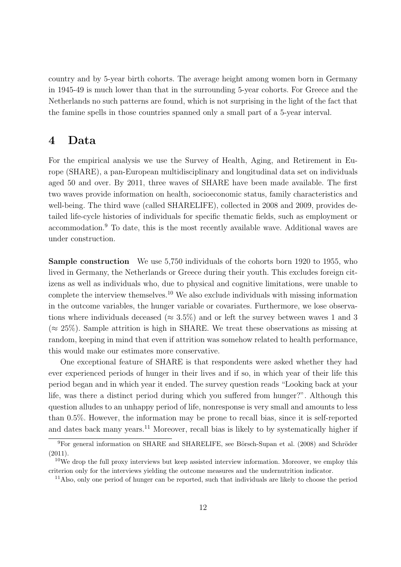country and by 5-year birth cohorts. The average height among women born in Germany in 1945-49 is much lower than that in the surrounding 5-year cohorts. For Greece and the Netherlands no such patterns are found, which is not surprising in the light of the fact that the famine spells in those countries spanned only a small part of a 5-year interval.

## **4 Data**

For the empirical analysis we use the Survey of Health, Aging, and Retirement in Europe (SHARE), a pan-European multidisciplinary and longitudinal data set on individuals aged 50 and over. By 2011, three waves of SHARE have been made available. The first two waves provide information on health, socioeconomic status, family characteristics and well-being. The third wave (called SHARELIFE), collected in 2008 and 2009, provides detailed life-cycle histories of individuals for specific thematic fields, such as employment or accommodation.<sup>9</sup> To date, this is the most recently available wave. Additional waves are under construction.

**Sample construction** We use 5,750 individuals of the cohorts born 1920 to 1955, who lived in Germany, the Netherlands or Greece during their youth. This excludes foreign citizens as well as individuals who, due to physical and cognitive limitations, were unable to complete the interview themselves.<sup>10</sup> We also exclude individuals with missing information in the outcome variables, the hunger variable or covariates. Furthermore, we lose observations where individuals deceased (*≈* 3*.*5%) and or left the survey between waves 1 and 3 (*≈* 25%). Sample attrition is high in SHARE. We treat these observations as missing at random, keeping in mind that even if attrition was somehow related to health performance, this would make our estimates more conservative.

One exceptional feature of SHARE is that respondents were asked whether they had ever experienced periods of hunger in their lives and if so, in which year of their life this period began and in which year it ended. The survey question reads "Looking back at your life, was there a distinct period during which you suffered from hunger?". Although this question alludes to an unhappy period of life, nonresponse is very small and amounts to less than 0.5%. However, the information may be prone to recall bias, since it is self-reported and dates back many years.<sup>11</sup> Moreover, recall bias is likely to by systematically higher if

<sup>&</sup>lt;sup>9</sup>For general information on SHARE and SHARELIFE, see Börsch-Supan et al. (2008) and Schröder (2011).

 $10$ We drop the full proxy interviews but keep assisted interview information. Moreover, we employ this criterion only for the interviews yielding the outcome measures and the undernutrition indicator.

<sup>11</sup>Also, only one period of hunger can be reported, such that individuals are likely to choose the period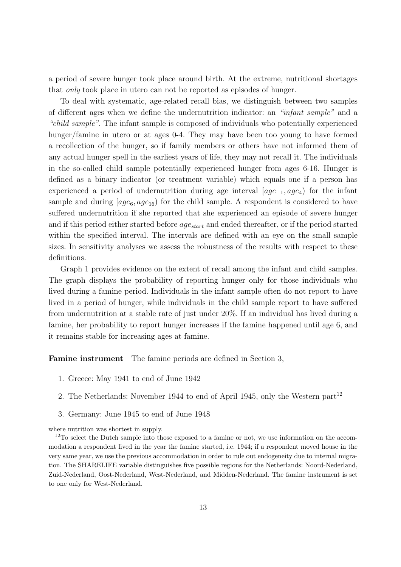a period of severe hunger took place around birth. At the extreme, nutritional shortages that *only* took place in utero can not be reported as episodes of hunger.

To deal with systematic, age-related recall bias, we distinguish between two samples of different ages when we define the undernutrition indicator: an *"infant sample"* and a *"child sample"*. The infant sample is composed of individuals who potentially experienced hunger/famine in utero or at ages 0-4. They may have been too young to have formed a recollection of the hunger, so if family members or others have not informed them of any actual hunger spell in the earliest years of life, they may not recall it. The individuals in the so-called child sample potentially experienced hunger from ages 6-16. Hunger is defined as a binary indicator (or treatment variable) which equals one if a person has experienced a period of undernutrition during age interval [*age−*<sup>1</sup>*, age*4) for the infant sample and during  $[age_6, age_{16})$  for the child sample. A respondent is considered to have suffered undernutrition if she reported that she experienced an episode of severe hunger and if this period either started before *agestart* and ended thereafter, or if the period started within the specified interval. The intervals are defined with an eye on the small sample sizes. In sensitivity analyses we assess the robustness of the results with respect to these definitions.

Graph 1 provides evidence on the extent of recall among the infant and child samples. The graph displays the probability of reporting hunger only for those individuals who lived during a famine period. Individuals in the infant sample often do not report to have lived in a period of hunger, while individuals in the child sample report to have suffered from undernutrition at a stable rate of just under 20%. If an individual has lived during a famine, her probability to report hunger increases if the famine happened until age 6, and it remains stable for increasing ages at famine.

**Famine instrument** The famine periods are defined in Section 3,

- 1. Greece: May 1941 to end of June 1942
- 2. The Netherlands: November 1944 to end of April 1945, only the Western part<sup>12</sup>
- 3. Germany: June 1945 to end of June 1948

where nutrition was shortest in supply.

 $12$ To select the Dutch sample into those exposed to a famine or not, we use information on the accommodation a respondent lived in the year the famine started, i.e. 1944; if a respondent moved house in the very same year, we use the previous accommodation in order to rule out endogeneity due to internal migration. The SHARELIFE variable distinguishes five possible regions for the Netherlands: Noord-Nederland, Zuid-Nederland, Oost-Nederland, West-Nederland, and Midden-Nederland. The famine instrument is set to one only for West-Nederland.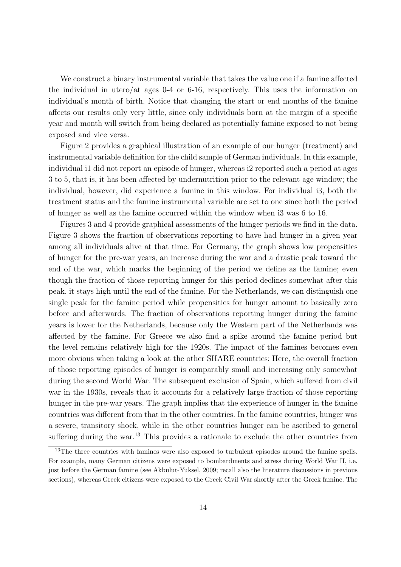We construct a binary instrumental variable that takes the value one if a famine affected the individual in utero/at ages 0-4 or 6-16, respectively. This uses the information on individual's month of birth. Notice that changing the start or end months of the famine affects our results only very little, since only individuals born at the margin of a specific year and month will switch from being declared as potentially famine exposed to not being exposed and vice versa.

Figure 2 provides a graphical illustration of an example of our hunger (treatment) and instrumental variable definition for the child sample of German individuals. In this example, individual i1 did not report an episode of hunger, whereas i2 reported such a period at ages 3 to 5, that is, it has been affected by undernutrition prior to the relevant age window; the individual, however, did experience a famine in this window. For individual i3, both the treatment status and the famine instrumental variable are set to one since both the period of hunger as well as the famine occurred within the window when i3 was 6 to 16.

Figures 3 and 4 provide graphical assessments of the hunger periods we find in the data. Figure 3 shows the fraction of observations reporting to have had hunger in a given year among all individuals alive at that time. For Germany, the graph shows low propensities of hunger for the pre-war years, an increase during the war and a drastic peak toward the end of the war, which marks the beginning of the period we define as the famine; even though the fraction of those reporting hunger for this period declines somewhat after this peak, it stays high until the end of the famine. For the Netherlands, we can distinguish one single peak for the famine period while propensities for hunger amount to basically zero before and afterwards. The fraction of observations reporting hunger during the famine years is lower for the Netherlands, because only the Western part of the Netherlands was affected by the famine. For Greece we also find a spike around the famine period but the level remains relatively high for the 1920s. The impact of the famines becomes even more obvious when taking a look at the other SHARE countries: Here, the overall fraction of those reporting episodes of hunger is comparably small and increasing only somewhat during the second World War. The subsequent exclusion of Spain, which suffered from civil war in the 1930s, reveals that it accounts for a relatively large fraction of those reporting hunger in the pre-war years. The graph implies that the experience of hunger in the famine countries was different from that in the other countries. In the famine countries, hunger was a severe, transitory shock, while in the other countries hunger can be ascribed to general suffering during the war.<sup>13</sup> This provides a rationale to exclude the other countries from

<sup>&</sup>lt;sup>13</sup>The three countries with famines were also exposed to turbulent episodes around the famine spells. For example, many German citizens were exposed to bombardments and stress during World War II, i.e. just before the German famine (see Akbulut-Yuksel, 2009; recall also the literature discussions in previous sections), whereas Greek citizens were exposed to the Greek Civil War shortly after the Greek famine. The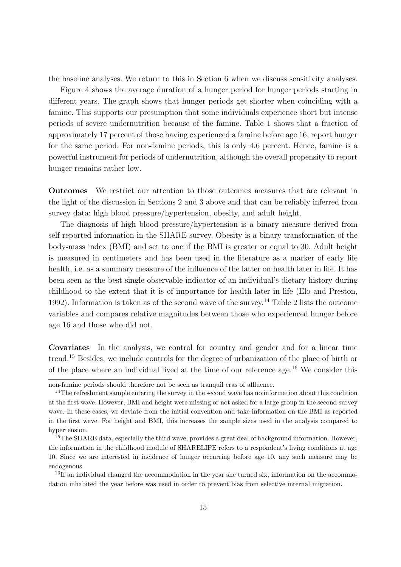the baseline analyses. We return to this in Section 6 when we discuss sensitivity analyses.

Figure 4 shows the average duration of a hunger period for hunger periods starting in different years. The graph shows that hunger periods get shorter when coinciding with a famine. This supports our presumption that some individuals experience short but intense periods of severe undernutrition because of the famine. Table 1 shows that a fraction of approximately 17 percent of those having experienced a famine before age 16, report hunger for the same period. For non-famine periods, this is only 4.6 percent. Hence, famine is a powerful instrument for periods of undernutrition, although the overall propensity to report hunger remains rather low.

**Outcomes** We restrict our attention to those outcomes measures that are relevant in the light of the discussion in Sections 2 and 3 above and that can be reliably inferred from survey data: high blood pressure/hypertension, obesity, and adult height.

The diagnosis of high blood pressure/hypertension is a binary measure derived from self-reported information in the SHARE survey. Obesity is a binary transformation of the body-mass index (BMI) and set to one if the BMI is greater or equal to 30. Adult height is measured in centimeters and has been used in the literature as a marker of early life health, i.e. as a summary measure of the influence of the latter on health later in life. It has been seen as the best single observable indicator of an individual's dietary history during childhood to the extent that it is of importance for health later in life (Elo and Preston, 1992). Information is taken as of the second wave of the survey.<sup>14</sup> Table 2 lists the outcome variables and compares relative magnitudes between those who experienced hunger before age 16 and those who did not.

**Covariates** In the analysis, we control for country and gender and for a linear time trend.<sup>15</sup> Besides, we include controls for the degree of urbanization of the place of birth or of the place where an individual lived at the time of our reference age.<sup>16</sup> We consider this

non-famine periods should therefore not be seen as tranquil eras of affluence.

<sup>&</sup>lt;sup>14</sup>The refreshment sample entering the survey in the second wave has no information about this condition at the first wave. However, BMI and height were missing or not asked for a large group in the second survey wave. In these cases, we deviate from the initial convention and take information on the BMI as reported in the first wave. For height and BMI, this increases the sample sizes used in the analysis compared to hypertension.

<sup>&</sup>lt;sup>15</sup>The SHARE data, especially the third wave, provides a great deal of background information. However, the information in the childhood module of SHARELIFE refers to a respondent's living conditions at age 10. Since we are interested in incidence of hunger occurring before age 10, any such measure may be endogenous.

<sup>&</sup>lt;sup>16</sup>If an individual changed the accommodation in the year she turned six, information on the accommodation inhabited the year before was used in order to prevent bias from selective internal migration.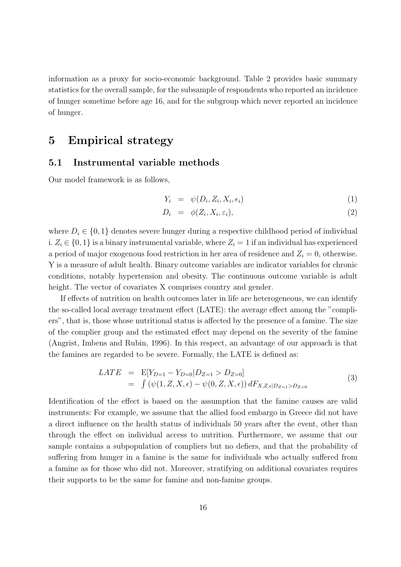information as a proxy for socio-economic background. Table 2 provides basic summary statistics for the overall sample, for the subsample of respondents who reported an incidence of hunger sometime before age 16, and for the subgroup which never reported an incidence of hunger.

## **5 Empirical strategy**

### **5.1 Instrumental variable methods**

Our model framework is as follows,

$$
Y_i = \psi(D_i, Z_i, X_i, \epsilon_i) \tag{1}
$$

$$
D_i = \phi(Z_i, X_i, \varepsilon_i), \tag{2}
$$

where  $D_i \in \{0, 1\}$  denotes severe hunger during a respective childhood period of individual i.  $Z_i \in \{0,1\}$  is a binary instrumental variable, where  $Z_i = 1$  if an individual has experienced a period of major exogenous food restriction in her area of residence and  $Z_i = 0$ , otherwise. Y is a measure of adult health. Binary outcome variables are indicator variables for chronic conditions, notably hypertension and obesity. The continuous outcome variable is adult height. The vector of covariates X comprises country and gender.

If effects of nutrition on health outcomes later in life are heterogeneous, we can identify the so-called local average treatment effect (LATE): the average effect among the "compliers", that is, those whose nutritional status is affected by the presence of a famine. The size of the complier group and the estimated effect may depend on the severity of the famine (Angrist, Imbens and Rubin, 1996). In this respect, an advantage of our approach is that the famines are regarded to be severe. Formally, the LATE is defined as:

$$
LATE = \mathbb{E}[Y_{D=1} - Y_{D=0} | D_{Z=1} > D_{Z=0}]
$$
  
=  $\int (\psi(1, Z, X, \epsilon) - \psi(0, Z, X, \epsilon)) dF_{X, Z, \epsilon|D_{Z=1} > D_{Z=0}}$  (3)

Identification of the effect is based on the assumption that the famine causes are valid instruments: For example, we assume that the allied food embargo in Greece did not have a direct influence on the health status of individuals 50 years after the event, other than through the effect on individual access to nutrition. Furthermore, we assume that our sample contains a subpopulation of compliers but no defiers, and that the probability of suffering from hunger in a famine is the same for individuals who actually suffered from a famine as for those who did not. Moreover, stratifying on additional covariates requires their supports to be the same for famine and non-famine groups.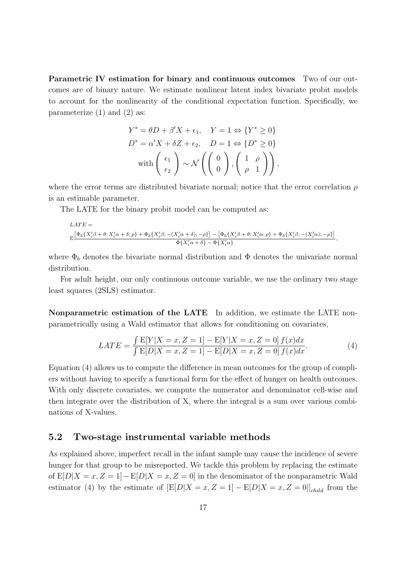**Parametric IV estimation for binary and continuous outcomes** Two of our outcomes are of binary nature. We estimate nonlinear latent index bivariate probit models to account for the nonlinearity of the conditional expectation function. Specifically, we parameterize (1) and (2) as:

$$
Y^* = \theta D + \beta' X + \epsilon_1, \quad Y = 1 \Leftrightarrow \{Y^* \ge 0\}
$$
  

$$
D^* = \alpha' X + \delta Z + \epsilon_2, \quad D = 1 \Leftrightarrow \{D^* \ge 0\}
$$
  
with 
$$
\begin{pmatrix} \epsilon_1 \\ \epsilon_2 \end{pmatrix} \sim \mathcal{N} \left( \begin{pmatrix} 0 \\ 0 \end{pmatrix}, \begin{pmatrix} 1 & \rho \\ \rho & 1 \end{pmatrix} \right),
$$

where the error terms are distributed bivariate normal; notice that the error correlation *ρ* is an estimable parameter.

The LATE for the binary probit model can be computed as:

$$
\begin{aligned} LATE =& \\ \mathop{\mathbb{E}}\frac{\left[\Phi_{b}\{X_{i}'\beta+\theta;X_{i}'\alpha+\delta;\rho\}+\Phi_{b}\{X_{i}'\beta;-(X_{i}'\alpha+\delta);-\rho\}\right]-\left[\Phi_{b}\{X_{i}'\beta+\theta;X_{i}'\alpha;\rho\}+\Phi_{b}\{X_{i}'\beta;-(X_{i}'\alpha);-\rho\}\right]}{\Phi\{X_{i}'\alpha+\delta\}-\Phi\{X_{i}'\alpha\}}, \end{aligned}
$$

where  $\Phi_b$  denotes the bivariate normal distribution and  $\Phi$  denotes the univariate normal distribution.

For adult height, our only continuous outcome variable, we use the ordinary two stage least squares (2SLS) estimator.

**Nonparametric estimation of the LATE** In addition, we estimate the LATE nonparametrically using a Wald estimator that allows for conditioning on covariates,

$$
LATE = \frac{\int E[Y|X=x, Z=1] - E[Y|X=x, Z=0] f(x) dx}{\int E[D|X=x, Z=1] - E[D|X=x, Z=0] f(x) dx}.
$$
\n(4)

Equation (4) allows us to compute the difference in mean outcomes for the group of compliers without having to specify a functional form for the effect of hunger on health outcomes. With only discrete covariates, we compute the numerator and denominator cell-wise and then integrate over the distribution of X, where the integral is a sum over various combinations of X-values.

### **5.2 Two-stage instrumental variable methods**

As explained above, imperfect recall in the infant sample may cause the incidence of severe hunger for that group to be misreported. We tackle this problem by replacing the estimate of  $E[D|X = x, Z = 1] - E[D|X = x, Z = 0]$  in the denominator of the nonparametric Wald estimator (4) by the estimate of  $[E[D|X=x, Z=1] - E[D|X=x, Z=0]]_{child}$  from the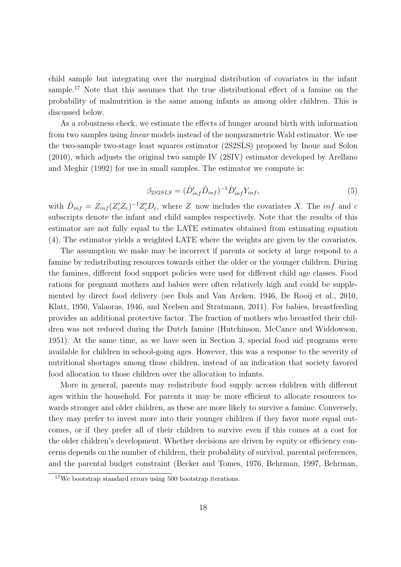child sample but integrating over the marginal distribution of covariates in the infant sample.<sup>17</sup> Note that this assumes that the true distributional effect of a famine on the probability of malnutrition is the same among infants as among older children. This is discussed below.

As a robustness check, we estimate the effects of hunger around birth with information from two samples using *linear* models instead of the nonparametric Wald estimator. We use the two-sample two-stage least squares estimator (2S2SLS) proposed by Inoue and Solon (2010), which adjusts the original two sample IV (2SIV) estimator developed by Arellano and Meghir (1992) for use in small samples. The estimator we compute is:

$$
\beta_{2S2SLS} = (\hat{D}'_{inf}\hat{D}_{inf})^{-1}\hat{D}'_{inf}Y_{inf},\tag{5}
$$

with  $\hat{D}_{inf} = Z_{inf}(Z_c'Z_c)^{-1}Z_c'D_c$ , where Z now includes the covariates X. The *inf* and c subscripts denote the infant and child samples respectively. Note that the results of this estimator are not fully equal to the LATE estimates obtained from estimating equation (4). The estimator yields a weighted LATE where the weights are given by the covariates.

The assumption we make may be incorrect if parents or society at large respond to a famine by redistributing resources towards either the older or the younger children. During the famines, different food support policies were used for different child age classes. Food rations for pregnant mothers and babies were often relatively high and could be supplemented by direct food delivery (see Dols and Van Arcken, 1946, De Rooij et al., 2010, Klatt, 1950, Valaoras, 1946, and Neelsen and Stratmann, 2011). For babies, breastfeeding provides an additional protective factor. The fraction of mothers who breastfed their children was not reduced during the Dutch famine (Hutchinson, McCance and Widdowson, 1951). At the same time, as we have seen in Section 3, special food aid programs were available for children in school-going ages. However, this was a response to the severity of nutritional shortages among those children, instead of an indication that society favored food allocation to those children over the allocation to infants.

More in general, parents may redistribute food supply across children with different ages within the household. For parents it may be more efficient to allocate resources towards stronger and older children, as these are more likely to survive a famine. Conversely, they may prefer to invest more into their younger children if they favor more equal outcomes, or if they prefer all of their children to survive even if this comes at a cost for the older children's development. Whether decisions are driven by equity or efficiency concerns depends on the number of children, their probability of survival, parental preferences, and the parental budget constraint (Becker and Tomes, 1976, Behrman, 1997, Behrman,

<sup>17</sup>We bootstrap standard errors using 500 bootstrap iterations.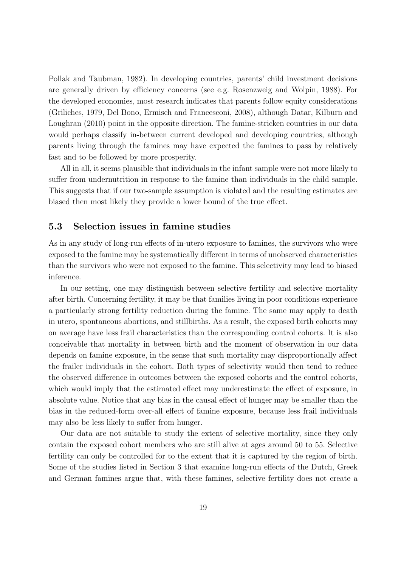Pollak and Taubman, 1982). In developing countries, parents' child investment decisions are generally driven by efficiency concerns (see e.g. Rosenzweig and Wolpin, 1988). For the developed economies, most research indicates that parents follow equity considerations (Griliches, 1979, Del Bono, Ermisch and Francesconi, 2008), although Datar, Kilburn and Loughran (2010) point in the opposite direction. The famine-stricken countries in our data would perhaps classify in-between current developed and developing countries, although parents living through the famines may have expected the famines to pass by relatively fast and to be followed by more prosperity.

All in all, it seems plausible that individuals in the infant sample were not more likely to suffer from undernutrition in response to the famine than individuals in the child sample. This suggests that if our two-sample assumption is violated and the resulting estimates are biased then most likely they provide a lower bound of the true effect.

#### **5.3 Selection issues in famine studies**

As in any study of long-run effects of in-utero exposure to famines, the survivors who were exposed to the famine may be systematically different in terms of unobserved characteristics than the survivors who were not exposed to the famine. This selectivity may lead to biased inference.

In our setting, one may distinguish between selective fertility and selective mortality after birth. Concerning fertility, it may be that families living in poor conditions experience a particularly strong fertility reduction during the famine. The same may apply to death in utero, spontaneous abortions, and stillbirths. As a result, the exposed birth cohorts may on average have less frail characteristics than the corresponding control cohorts. It is also conceivable that mortality in between birth and the moment of observation in our data depends on famine exposure, in the sense that such mortality may disproportionally affect the frailer individuals in the cohort. Both types of selectivity would then tend to reduce the observed difference in outcomes between the exposed cohorts and the control cohorts, which would imply that the estimated effect may underestimate the effect of exposure, in absolute value. Notice that any bias in the causal effect of hunger may be smaller than the bias in the reduced-form over-all effect of famine exposure, because less frail individuals may also be less likely to suffer from hunger.

Our data are not suitable to study the extent of selective mortality, since they only contain the exposed cohort members who are still alive at ages around 50 to 55. Selective fertility can only be controlled for to the extent that it is captured by the region of birth. Some of the studies listed in Section 3 that examine long-run effects of the Dutch, Greek and German famines argue that, with these famines, selective fertility does not create a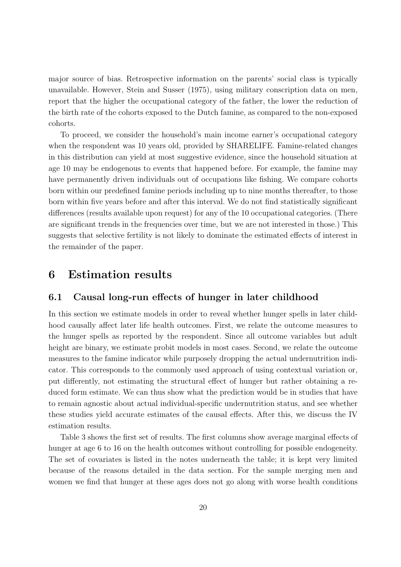major source of bias. Retrospective information on the parents' social class is typically unavailable. However, Stein and Susser (1975), using military conscription data on men, report that the higher the occupational category of the father, the lower the reduction of the birth rate of the cohorts exposed to the Dutch famine, as compared to the non-exposed cohorts.

To proceed, we consider the household's main income earner's occupational category when the respondent was 10 years old, provided by SHARELIFE. Famine-related changes in this distribution can yield at most suggestive evidence, since the household situation at age 10 may be endogenous to events that happened before. For example, the famine may have permanently driven individuals out of occupations like fishing. We compare cohorts born within our predefined famine periods including up to nine months thereafter, to those born within five years before and after this interval. We do not find statistically significant differences (results available upon request) for any of the 10 occupational categories. (There are significant trends in the frequencies over time, but we are not interested in those.) This suggests that selective fertility is not likely to dominate the estimated effects of interest in the remainder of the paper.

## **6 Estimation results**

### **6.1 Causal long-run effects of hunger in later childhood**

In this section we estimate models in order to reveal whether hunger spells in later childhood causally affect later life health outcomes. First, we relate the outcome measures to the hunger spells as reported by the respondent. Since all outcome variables but adult height are binary, we estimate probit models in most cases. Second, we relate the outcome measures to the famine indicator while purposely dropping the actual undernutrition indicator. This corresponds to the commonly used approach of using contextual variation or, put differently, not estimating the structural effect of hunger but rather obtaining a reduced form estimate. We can thus show what the prediction would be in studies that have to remain agnostic about actual individual-specific undernutrition status, and see whether these studies yield accurate estimates of the causal effects. After this, we discuss the IV estimation results.

Table 3 shows the first set of results. The first columns show average marginal effects of hunger at age 6 to 16 on the health outcomes without controlling for possible endogeneity. The set of covariates is listed in the notes underneath the table; it is kept very limited because of the reasons detailed in the data section. For the sample merging men and women we find that hunger at these ages does not go along with worse health conditions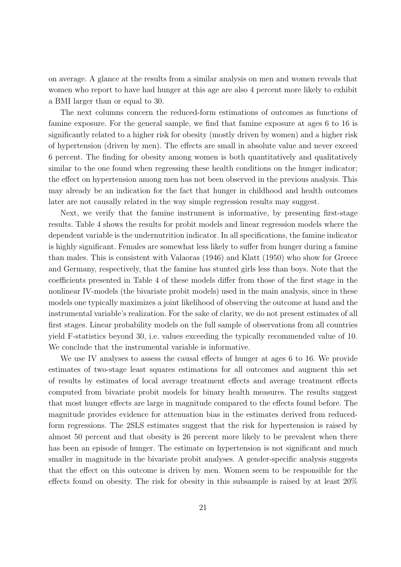on average. A glance at the results from a similar analysis on men and women reveals that women who report to have had hunger at this age are also 4 percent more likely to exhibit a BMI larger than or equal to 30.

The next columns concern the reduced-form estimations of outcomes as functions of famine exposure. For the general sample, we find that famine exposure at ages 6 to 16 is significantly related to a higher risk for obesity (mostly driven by women) and a higher risk of hypertension (driven by men). The effects are small in absolute value and never exceed 6 percent. The finding for obesity among women is both quantitatively and qualitatively similar to the one found when regressing these health conditions on the hunger indicator; the effect on hypertension among men has not been observed in the previous analysis. This may already be an indication for the fact that hunger in childhood and health outcomes later are not causally related in the way simple regression results may suggest.

Next, we verify that the famine instrument is informative, by presenting first-stage results. Table 4 shows the results for probit models and linear regression models where the dependent variable is the undernutrition indicator. In all specifications, the famine indicator is highly significant. Females are somewhat less likely to suffer from hunger during a famine than males. This is consistent with Valaoras (1946) and Klatt (1950) who show for Greece and Germany, respectively, that the famine has stunted girls less than boys. Note that the coefficients presented in Table 4 of these models differ from those of the first stage in the nonlinear IV-models (the bivariate probit models) used in the main analysis, since in these models one typically maximizes a joint likelihood of observing the outcome at hand and the instrumental variable's realization. For the sake of clarity, we do not present estimates of all first stages. Linear probability models on the full sample of observations from all countries yield F-statistics beyond 30, i.e. values exceeding the typically recommended value of 10. We conclude that the instrumental variable is informative.

We use IV analyses to assess the causal effects of hunger at ages 6 to 16. We provide estimates of two-stage least squares estimations for all outcomes and augment this set of results by estimates of local average treatment effects and average treatment effects computed from bivariate probit models for binary health measures. The results suggest that most hunger effects are large in magnitude compared to the effects found before. The magnitude provides evidence for attenuation bias in the estimates derived from reducedform regressions. The 2SLS estimates suggest that the risk for hypertension is raised by almost 50 percent and that obesity is 26 percent more likely to be prevalent when there has been an episode of hunger. The estimate on hypertension is not significant and much smaller in magnitude in the bivariate probit analyses. A gender-specific analysis suggests that the effect on this outcome is driven by men. Women seem to be responsible for the effects found on obesity. The risk for obesity in this subsample is raised by at least 20%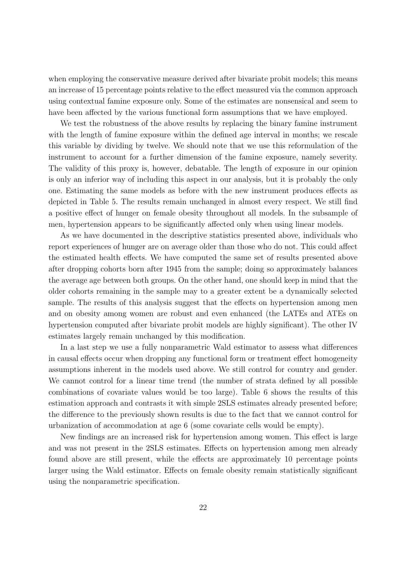when employing the conservative measure derived after bivariate probit models; this means an increase of 15 percentage points relative to the effect measured via the common approach using contextual famine exposure only. Some of the estimates are nonsensical and seem to have been affected by the various functional form assumptions that we have employed.

We test the robustness of the above results by replacing the binary famine instrument with the length of famine exposure within the defined age interval in months; we rescale this variable by dividing by twelve. We should note that we use this reformulation of the instrument to account for a further dimension of the famine exposure, namely severity. The validity of this proxy is, however, debatable. The length of exposure in our opinion is only an inferior way of including this aspect in our analysis, but it is probably the only one. Estimating the same models as before with the new instrument produces effects as depicted in Table 5. The results remain unchanged in almost every respect. We still find a positive effect of hunger on female obesity throughout all models. In the subsample of men, hypertension appears to be significantly affected only when using linear models.

As we have documented in the descriptive statistics presented above, individuals who report experiences of hunger are on average older than those who do not. This could affect the estimated health effects. We have computed the same set of results presented above after dropping cohorts born after 1945 from the sample; doing so approximately balances the average age between both groups. On the other hand, one should keep in mind that the older cohorts remaining in the sample may to a greater extent be a dynamically selected sample. The results of this analysis suggest that the effects on hypertension among men and on obesity among women are robust and even enhanced (the LATEs and ATEs on hypertension computed after bivariate probit models are highly significant). The other IV estimates largely remain unchanged by this modification.

In a last step we use a fully nonparametric Wald estimator to assess what differences in causal effects occur when dropping any functional form or treatment effect homogeneity assumptions inherent in the models used above. We still control for country and gender. We cannot control for a linear time trend (the number of strata defined by all possible combinations of covariate values would be too large). Table 6 shows the results of this estimation approach and contrasts it with simple 2SLS estimates already presented before; the difference to the previously shown results is due to the fact that we cannot control for urbanization of accommodation at age 6 (some covariate cells would be empty).

New findings are an increased risk for hypertension among women. This effect is large and was not present in the 2SLS estimates. Effects on hypertension among men already found above are still present, while the effects are approximately 10 percentage points larger using the Wald estimator. Effects on female obesity remain statistically significant using the nonparametric specification.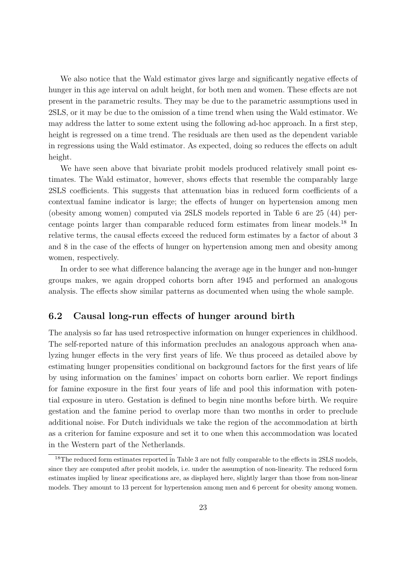We also notice that the Wald estimator gives large and significantly negative effects of hunger in this age interval on adult height, for both men and women. These effects are not present in the parametric results. They may be due to the parametric assumptions used in 2SLS, or it may be due to the omission of a time trend when using the Wald estimator. We may address the latter to some extent using the following ad-hoc approach. In a first step, height is regressed on a time trend. The residuals are then used as the dependent variable in regressions using the Wald estimator. As expected, doing so reduces the effects on adult height.

We have seen above that bivariate probit models produced relatively small point estimates. The Wald estimator, however, shows effects that resemble the comparably large 2SLS coefficients. This suggests that attenuation bias in reduced form coefficients of a contextual famine indicator is large; the effects of hunger on hypertension among men (obesity among women) computed via 2SLS models reported in Table 6 are 25 (44) percentage points larger than comparable reduced form estimates from linear models.<sup>18</sup> In relative terms, the causal effects exceed the reduced form estimates by a factor of about 3 and 8 in the case of the effects of hunger on hypertension among men and obesity among women, respectively.

In order to see what difference balancing the average age in the hunger and non-hunger groups makes, we again dropped cohorts born after 1945 and performed an analogous analysis. The effects show similar patterns as documented when using the whole sample.

### **6.2 Causal long-run effects of hunger around birth**

The analysis so far has used retrospective information on hunger experiences in childhood. The self-reported nature of this information precludes an analogous approach when analyzing hunger effects in the very first years of life. We thus proceed as detailed above by estimating hunger propensities conditional on background factors for the first years of life by using information on the famines' impact on cohorts born earlier. We report findings for famine exposure in the first four years of life and pool this information with potential exposure in utero. Gestation is defined to begin nine months before birth. We require gestation and the famine period to overlap more than two months in order to preclude additional noise. For Dutch individuals we take the region of the accommodation at birth as a criterion for famine exposure and set it to one when this accommodation was located in the Western part of the Netherlands.

<sup>&</sup>lt;sup>18</sup>The reduced form estimates reported in Table 3 are not fully comparable to the effects in 2SLS models, since they are computed after probit models, i.e. under the assumption of non-linearity. The reduced form estimates implied by linear specifications are, as displayed here, slightly larger than those from non-linear models. They amount to 13 percent for hypertension among men and 6 percent for obesity among women.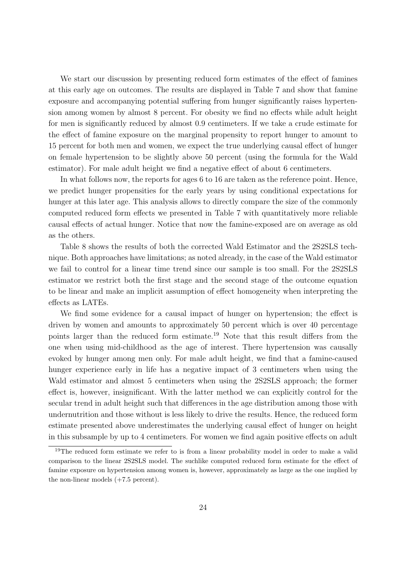We start our discussion by presenting reduced form estimates of the effect of famines at this early age on outcomes. The results are displayed in Table 7 and show that famine exposure and accompanying potential suffering from hunger significantly raises hypertension among women by almost 8 percent. For obesity we find no effects while adult height for men is significantly reduced by almost 0.9 centimeters. If we take a crude estimate for the effect of famine exposure on the marginal propensity to report hunger to amount to 15 percent for both men and women, we expect the true underlying causal effect of hunger on female hypertension to be slightly above 50 percent (using the formula for the Wald estimator). For male adult height we find a negative effect of about 6 centimeters.

In what follows now, the reports for ages 6 to 16 are taken as the reference point. Hence, we predict hunger propensities for the early years by using conditional expectations for hunger at this later age. This analysis allows to directly compare the size of the commonly computed reduced form effects we presented in Table 7 with quantitatively more reliable causal effects of actual hunger. Notice that now the famine-exposed are on average as old as the others.

Table 8 shows the results of both the corrected Wald Estimator and the 2S2SLS technique. Both approaches have limitations; as noted already, in the case of the Wald estimator we fail to control for a linear time trend since our sample is too small. For the 2S2SLS estimator we restrict both the first stage and the second stage of the outcome equation to be linear and make an implicit assumption of effect homogeneity when interpreting the effects as LATEs.

We find some evidence for a causal impact of hunger on hypertension; the effect is driven by women and amounts to approximately 50 percent which is over 40 percentage points larger than the reduced form estimate.<sup>19</sup> Note that this result differs from the one when using mid-childhood as the age of interest. There hypertension was causally evoked by hunger among men only. For male adult height, we find that a famine-caused hunger experience early in life has a negative impact of 3 centimeters when using the Wald estimator and almost 5 centimeters when using the 2S2SLS approach; the former effect is, however, insignificant. With the latter method we can explicitly control for the secular trend in adult height such that differences in the age distribution among those with undernutrition and those without is less likely to drive the results. Hence, the reduced form estimate presented above underestimates the underlying causal effect of hunger on height in this subsample by up to 4 centimeters. For women we find again positive effects on adult

<sup>&</sup>lt;sup>19</sup>The reduced form estimate we refer to is from a linear probability model in order to make a valid comparison to the linear 2S2SLS model. The suchlike computed reduced form estimate for the effect of famine exposure on hypertension among women is, however, approximately as large as the one implied by the non-linear models (+7.5 percent).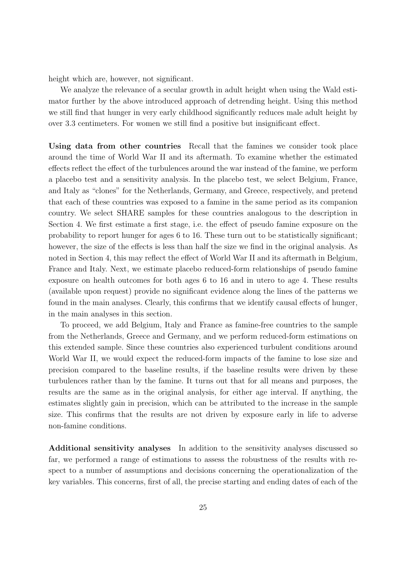height which are, however, not significant.

We analyze the relevance of a secular growth in adult height when using the Wald estimator further by the above introduced approach of detrending height. Using this method we still find that hunger in very early childhood significantly reduces male adult height by over 3.3 centimeters. For women we still find a positive but insignificant effect.

**Using data from other countries** Recall that the famines we consider took place around the time of World War II and its aftermath. To examine whether the estimated effects reflect the effect of the turbulences around the war instead of the famine, we perform a placebo test and a sensitivity analysis. In the placebo test, we select Belgium, France, and Italy as "clones" for the Netherlands, Germany, and Greece, respectively, and pretend that each of these countries was exposed to a famine in the same period as its companion country. We select SHARE samples for these countries analogous to the description in Section 4. We first estimate a first stage, i.e. the effect of pseudo famine exposure on the probability to report hunger for ages 6 to 16. These turn out to be statistically significant; however, the size of the effects is less than half the size we find in the original analysis. As noted in Section 4, this may reflect the effect of World War II and its aftermath in Belgium, France and Italy. Next, we estimate placebo reduced-form relationships of pseudo famine exposure on health outcomes for both ages 6 to 16 and in utero to age 4. These results (available upon request) provide no significant evidence along the lines of the patterns we found in the main analyses. Clearly, this confirms that we identify causal effects of hunger, in the main analyses in this section.

To proceed, we add Belgium, Italy and France as famine-free countries to the sample from the Netherlands, Greece and Germany, and we perform reduced-form estimations on this extended sample. Since these countries also experienced turbulent conditions around World War II, we would expect the reduced-form impacts of the famine to lose size and precision compared to the baseline results, if the baseline results were driven by these turbulences rather than by the famine. It turns out that for all means and purposes, the results are the same as in the original analysis, for either age interval. If anything, the estimates slightly gain in precision, which can be attributed to the increase in the sample size. This confirms that the results are not driven by exposure early in life to adverse non-famine conditions.

**Additional sensitivity analyses** In addition to the sensitivity analyses discussed so far, we performed a range of estimations to assess the robustness of the results with respect to a number of assumptions and decisions concerning the operationalization of the key variables. This concerns, first of all, the precise starting and ending dates of each of the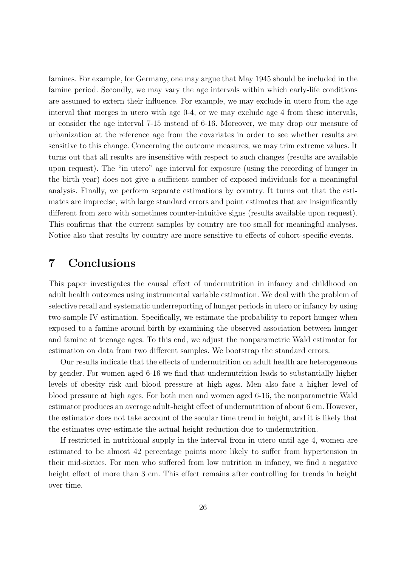famines. For example, for Germany, one may argue that May 1945 should be included in the famine period. Secondly, we may vary the age intervals within which early-life conditions are assumed to extern their influence. For example, we may exclude in utero from the age interval that merges in utero with age 0-4, or we may exclude age 4 from these intervals, or consider the age interval 7-15 instead of 6-16. Moreover, we may drop our measure of urbanization at the reference age from the covariates in order to see whether results are sensitive to this change. Concerning the outcome measures, we may trim extreme values. It turns out that all results are insensitive with respect to such changes (results are available upon request). The "in utero" age interval for exposure (using the recording of hunger in the birth year) does not give a sufficient number of exposed individuals for a meaningful analysis. Finally, we perform separate estimations by country. It turns out that the estimates are imprecise, with large standard errors and point estimates that are insignificantly different from zero with sometimes counter-intuitive signs (results available upon request). This confirms that the current samples by country are too small for meaningful analyses. Notice also that results by country are more sensitive to effects of cohort-specific events.

## **7 Conclusions**

This paper investigates the causal effect of undernutrition in infancy and childhood on adult health outcomes using instrumental variable estimation. We deal with the problem of selective recall and systematic underreporting of hunger periods in utero or infancy by using two-sample IV estimation. Specifically, we estimate the probability to report hunger when exposed to a famine around birth by examining the observed association between hunger and famine at teenage ages. To this end, we adjust the nonparametric Wald estimator for estimation on data from two different samples. We bootstrap the standard errors.

Our results indicate that the effects of undernutrition on adult health are heterogeneous by gender. For women aged 6-16 we find that undernutrition leads to substantially higher levels of obesity risk and blood pressure at high ages. Men also face a higher level of blood pressure at high ages. For both men and women aged 6-16, the nonparametric Wald estimator produces an average adult-height effect of undernutrition of about 6 cm. However, the estimator does not take account of the secular time trend in height, and it is likely that the estimates over-estimate the actual height reduction due to undernutrition.

If restricted in nutritional supply in the interval from in utero until age 4, women are estimated to be almost 42 percentage points more likely to suffer from hypertension in their mid-sixties. For men who suffered from low nutrition in infancy, we find a negative height effect of more than 3 cm. This effect remains after controlling for trends in height over time.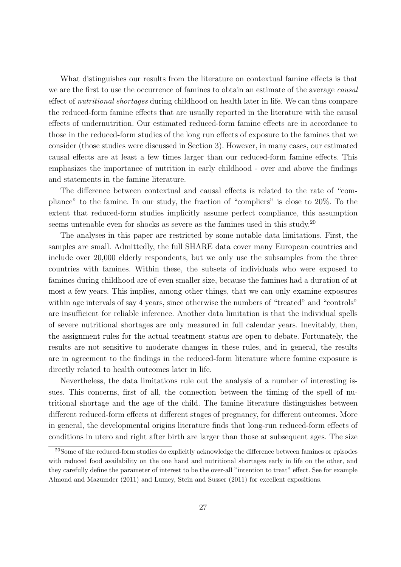What distinguishes our results from the literature on contextual famine effects is that we are the first to use the occurrence of famines to obtain an estimate of the average *causal* effect of *nutritional shortages* during childhood on health later in life. We can thus compare the reduced-form famine effects that are usually reported in the literature with the causal effects of undernutrition. Our estimated reduced-form famine effects are in accordance to those in the reduced-form studies of the long run effects of exposure to the famines that we consider (those studies were discussed in Section 3). However, in many cases, our estimated causal effects are at least a few times larger than our reduced-form famine effects. This emphasizes the importance of nutrition in early childhood - over and above the findings and statements in the famine literature.

The difference between contextual and causal effects is related to the rate of "compliance" to the famine. In our study, the fraction of "compliers" is close to 20%. To the extent that reduced-form studies implicitly assume perfect compliance, this assumption seems untenable even for shocks as severe as the famines used in this study.<sup>20</sup>

The analyses in this paper are restricted by some notable data limitations. First, the samples are small. Admittedly, the full SHARE data cover many European countries and include over 20,000 elderly respondents, but we only use the subsamples from the three countries with famines. Within these, the subsets of individuals who were exposed to famines during childhood are of even smaller size, because the famines had a duration of at most a few years. This implies, among other things, that we can only examine exposures within age intervals of say 4 years, since otherwise the numbers of "treated" and "controls" are insufficient for reliable inference. Another data limitation is that the individual spells of severe nutritional shortages are only measured in full calendar years. Inevitably, then, the assignment rules for the actual treatment status are open to debate. Fortunately, the results are not sensitive to moderate changes in these rules, and in general, the results are in agreement to the findings in the reduced-form literature where famine exposure is directly related to health outcomes later in life.

Nevertheless, the data limitations rule out the analysis of a number of interesting issues. This concerns, first of all, the connection between the timing of the spell of nutritional shortage and the age of the child. The famine literature distinguishes between different reduced-form effects at different stages of pregnancy, for different outcomes. More in general, the developmental origins literature finds that long-run reduced-form effects of conditions in utero and right after birth are larger than those at subsequent ages. The size

<sup>&</sup>lt;sup>20</sup>Some of the reduced-form studies do explicitly acknowledge the difference between famines or episodes with reduced food availability on the one hand and nutritional shortages early in life on the other, and they carefully define the parameter of interest to be the over-all "intention to treat" effect. See for example Almond and Mazumder (2011) and Lumey, Stein and Susser (2011) for excellent expositions.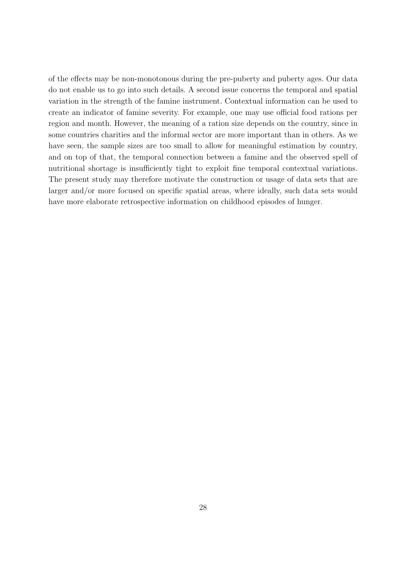of the effects may be non-monotonous during the pre-puberty and puberty ages. Our data do not enable us to go into such details. A second issue concerns the temporal and spatial variation in the strength of the famine instrument. Contextual information can be used to create an indicator of famine severity. For example, one may use official food rations per region and month. However, the meaning of a ration size depends on the country, since in some countries charities and the informal sector are more important than in others. As we have seen, the sample sizes are too small to allow for meaningful estimation by country, and on top of that, the temporal connection between a famine and the observed spell of nutritional shortage is insufficiently tight to exploit fine temporal contextual variations. The present study may therefore motivate the construction or usage of data sets that are larger and/or more focused on specific spatial areas, where ideally, such data sets would have more elaborate retrospective information on childhood episodes of hunger.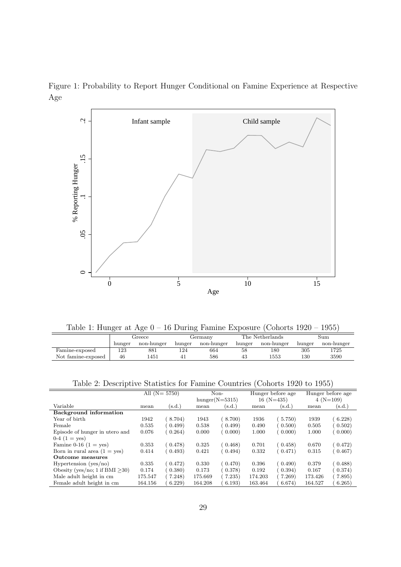Figure 1: Probability to Report Hunger Conditional on Famine Experience at Respective Age



Table 1: Hunger at Age 0 – 16 During Famine Exposure (Cohorts 1920 – 1955)

|                    |        | $\tau$ reece |        | Germany    |        | The Netherlands |        | Sum        |
|--------------------|--------|--------------|--------|------------|--------|-----------------|--------|------------|
|                    | hunger | non-hunger   | hunger | non-hunger | hunger | non-hunger      | hunger | non-hunger |
| Famine-exposed     | LO S   | 881          | 124    | 664        | 58     | 180             | 305    | 1725       |
| Not famine-exposed | 46     | 451          |        | 586        | 43     | 1553            | 130    | 3590       |

| Table 2: Descriptive Statistics for Famine Countries (Cohorts 1920 to 1955) |  |  |  |
|-----------------------------------------------------------------------------|--|--|--|
|                                                                             |  |  |  |

|                                   |         | All $(N = 5750)$ |         | Non-             |         | Hunger before age |         | Hunger before age |  |
|-----------------------------------|---------|------------------|---------|------------------|---------|-------------------|---------|-------------------|--|
|                                   |         |                  |         | $hunger(N=5315)$ |         | 16 $(N=435)$      |         | $4(N=109)$        |  |
| Variable                          | mean    | (s.d.)           | mean    | (s.d.)           | mean    | (s.d.)            | mean    | (s.d.)            |  |
| Background information            |         |                  |         |                  |         |                   |         |                   |  |
| Year of birth                     | 1942    | 8.704)           | 1943    | 8.700)           | 1936    | 5.750)            | 1939    | 6.228)            |  |
| Female                            | 0.535   | (0.499)          | 0.538   | (0.499)          | 0.490   | 0.500)            | 0.505   | 0.502)            |  |
| Episode of hunger in utero and    | 0.076   | 0.264)           | 0.000   | 0.000)           | 1.000   | 0.000)            | 1.000   | 0.000)            |  |
| $0-4$ $(1 = yes)$                 |         |                  |         |                  |         |                   |         |                   |  |
| Famine 0-16 $(1 = \text{ves})$    | 0.353   | (0.478)          | 0.325   | (0.468)          | 0.701   | 0.458             | 0.670   | (0.472)           |  |
| Born in rural area $(1 = yes)$    | 0.414   | (0.493)          | 0.421   | (0.494)          | 0.332   | 0.471)            | 0.315   | 0.467)            |  |
| Outcome measures                  |         |                  |         |                  |         |                   |         |                   |  |
| Hypertension (ves/no)             | 0.335   | 0.472)           | 0.330   | (0.470)          | 0.396   | (0.490)           | 0.379   | (0.488)           |  |
| Obesity (yes/no; 1 if BMI $>30$ ) | 0.174   | (0.380)          | 0.173   | (0.378)          | 0.192   | (0.394)           | 0.167   | 0.374)            |  |
| Male adult height in cm           | 175.547 | 7.248)           | 175.669 | 7.235)           | 174.203 | 7.269)            | 173.426 | 7.895)            |  |
| Female adult height in cm.        | 164.156 | 6.229            | 164.208 | 6.193)           | 163.464 | 6.674)            | 164.527 | 6.265)            |  |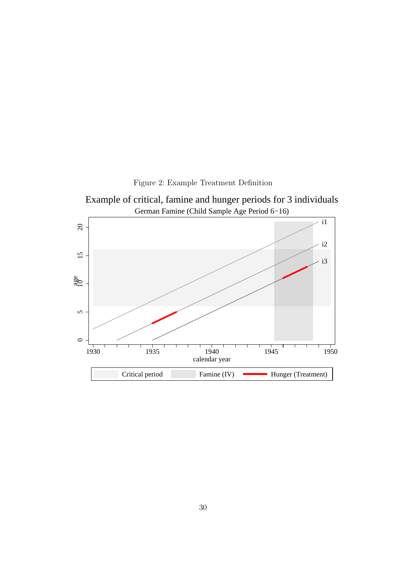

Figure 2: Example Treatment Definition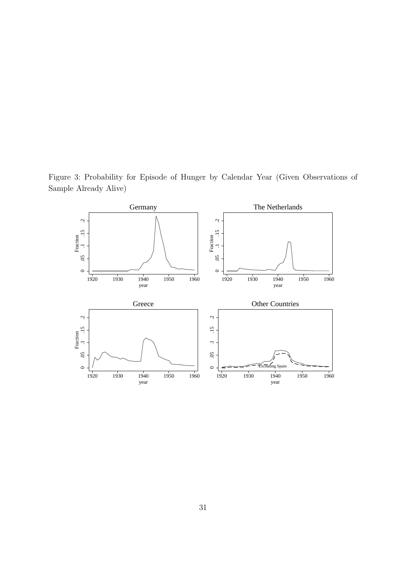Figure 3: Probability for Episode of Hunger by Calendar Year (Given Observations of Sample Already Alive)

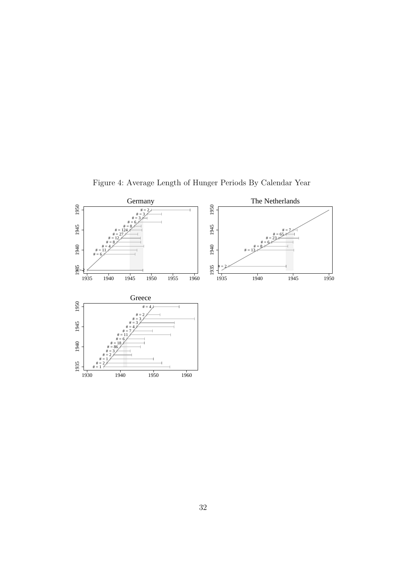

Figure 4: Average Length of Hunger Periods By Calendar Year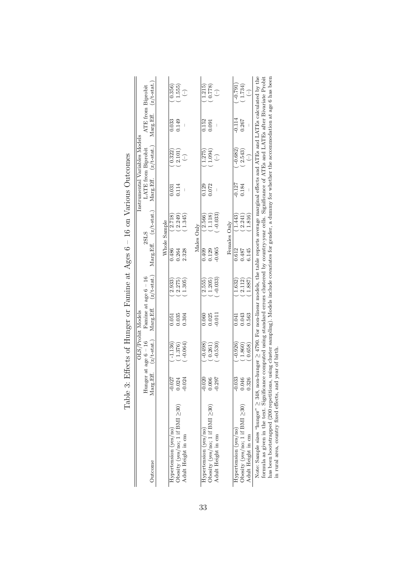|                                                                                                                                                                        | Table 3:  |                                              |                   |                                         |          | Effects of Hunger or Famine at Ages $6-16$ on Various Outcomes                                                         |           |                                     |           |                                           |
|------------------------------------------------------------------------------------------------------------------------------------------------------------------------|-----------|----------------------------------------------|-------------------|-----------------------------------------|----------|------------------------------------------------------------------------------------------------------------------------|-----------|-------------------------------------|-----------|-------------------------------------------|
|                                                                                                                                                                        |           |                                              | OLS/Probit Models |                                         |          |                                                                                                                        |           | Instrumental Variables Models       |           |                                           |
| Outcome                                                                                                                                                                | Marg.Eff. | $(z/t\text{-stat.})$<br>Hunger at age $6-16$ | Marg.Eff.         | $(z/t-stat.)$<br>Famine at age $6 - 16$ |          | Marg.Eff. (z/t-stat.)<br>2SLS                                                                                          | Marg.Eff. | $(z/t-stat.)$<br>LATE from Biprobit | Marg.Eff. | $(z/t-stat.)$<br><b>ATE</b> from Biprobit |
|                                                                                                                                                                        |           |                                              |                   |                                         |          | Whole Sample                                                                                                           |           |                                     |           |                                           |
| Hypertension (yes/no)                                                                                                                                                  | $-0.027$  | $-1.136$                                     | 0.051             | 2.933)                                  | 0.486    | 2.718                                                                                                                  | 0.031     | 0.322                               | 0.033     | 0.356                                     |
| Obesity (yes/no; 1 if BMI $\geq$ 30)                                                                                                                                   | 0.024     | 1.376                                        | 0.035             | 2.275)                                  | 0.264    | 2.249                                                                                                                  | 0.114     | 2.101                               | 0.149     | 1.555                                     |
| Adult Height in cm                                                                                                                                                     | $-0.024$  | $-0.064$                                     | 0.304             | 1.305                                   | 2.328    | 1.345                                                                                                                  |           | $\widehat{\mathbb{C}}$              |           | $\widehat{\mathbb{C}}$                    |
|                                                                                                                                                                        |           |                                              |                   |                                         |          | Males Only                                                                                                             |           |                                     |           |                                           |
| Hypertension (yes/no                                                                                                                                                   | $-0.020$  | $-0.498$                                     | 0.060             | 2.555                                   | 0.409    | 2.566                                                                                                                  | 0.129     | 1.275                               | 0.152     | 1.215                                     |
| Obesity (yes/no; 1 if BMI $\geq$ 30)                                                                                                                                   | 0.006     | 0.261                                        | 0.025             | 1.205                                   | 0.129    | 1.118                                                                                                                  | 0.072     | (1.094)                             | 0.091     | (877.0)                                   |
| Adult Height in cm                                                                                                                                                     | $-0.297$  | $-0.530$                                     | $-0.011$          | $-0.033$                                | $-0.065$ | $-0.033$                                                                                                               |           | $\widehat{\mathbb{C}}$              |           | $\widehat{\mathbb{C}}$                    |
|                                                                                                                                                                        |           |                                              |                   |                                         |          | Females Only                                                                                                           |           |                                     |           |                                           |
| Hypertension (yes/no)                                                                                                                                                  | $-0.033$  | $-0.926$                                     | 0.041             | 1.632                                   | 0.612    | 1.443                                                                                                                  | $-0.127$  | $-0.682$                            | $-0.114$  | $-0.791$ )                                |
| Obesity (yes/no; 1 if BMI $\geq$ 30)                                                                                                                                   | 0.046     | 1.860)                                       | 0.043             | 2.112)                                  | 0.487    | 2.241                                                                                                                  | 0.184     | 2.543)                              | 0.267     | (1.734)                                   |
| Adult Height in cm                                                                                                                                                     | 0.326     | 0.658                                        | 0.563             | 1.887)                                  | 6.145    | 1.816                                                                                                                  |           | I                                   |           | Ţ                                         |
| Note: Sample sizes "hunger" $\geq$ 348, non-hunger $\geq$ 4790. For non-linear models, the table reports average marginal effects and ATEs and LATEs calculated by the |           |                                              |                   |                                         |          |                                                                                                                        |           |                                     |           |                                           |
| formula as given in the text. Significance computed using standard errors clustered by country-year cells. Significance of ATEs and LATEs after Bivariate Probit       |           |                                              |                   |                                         |          |                                                                                                                        |           |                                     |           |                                           |
| in rural area, country fixed effects, and year of birth<br>has been bootstrapped (200 repetitions,                                                                     |           |                                              |                   |                                         |          | using cluster sampling). Models include covariates for gender, a dummy for whether the accommodation at age 6 has been |           |                                     |           |                                           |

| (             |                             | 5<br>\                             |
|---------------|-----------------------------|------------------------------------|
|               | an UXED U = 10 UII VallUm   | .<br>2                             |
|               | S<br>C                      |                                    |
|               |                             |                                    |
|               |                             |                                    |
|               |                             |                                    |
|               |                             |                                    |
| I             | Are or or Homing of Area is | $\sim$ $\sim$ $\sim$ $\sim$ $\sim$ |
|               |                             |                                    |
| ļ             |                             | $+24.42$                           |
|               |                             |                                    |
| ع<br>مال<br>م | iv.<br>Hitterts of<br>こここ   |                                    |
|               |                             |                                    |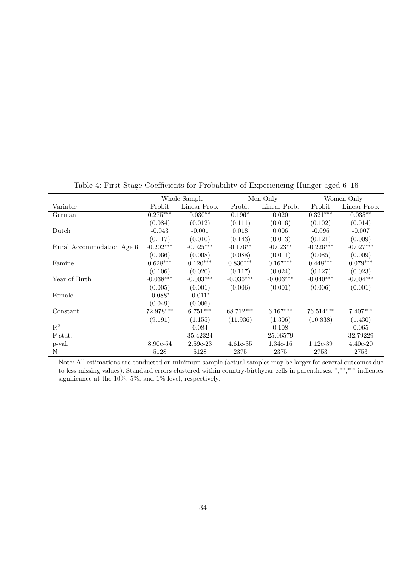|                           |             | Whole Sample |             | Men Only     |                       | Women Only   |
|---------------------------|-------------|--------------|-------------|--------------|-----------------------|--------------|
| Variable                  | Probit      | Linear Prob. | Probit      | Linear Prob. | Probit                | Linear Prob. |
| German                    | $0.275***$  | $0.030**$    | $0.196*$    | 0.020        | $0.32\overline{1***}$ | $0.035***$   |
|                           | (0.084)     | (0.012)      | (0.111)     | (0.016)      | (0.102)               | (0.014)      |
| Dutch                     | $-0.043$    | $-0.001$     | 0.018       | 0.006        | $-0.096$              | $-0.007$     |
|                           | (0.117)     | (0.010)      | (0.143)     | (0.013)      | (0.121)               | (0.009)      |
| Rural Accommodation Age 6 | $-0.202***$ | $-0.025***$  | $-0.176**$  | $-0.023**$   | $-0.226***$           | $-0.027***$  |
|                           | (0.066)     | (0.008)      | (0.088)     | (0.011)      | (0.085)               | (0.009)      |
| Famine                    | $0.628***$  | $0.120***$   | $0.830***$  | $0.167***$   | $0.448***$            | $0.079***$   |
|                           | (0.106)     | (0.020)      | (0.117)     | (0.024)      | (0.127)               | (0.023)      |
| Year of Birth             | $-0.038***$ | $-0.003***$  | $-0.036***$ | $-0.003***$  | $-0.040***$           | $-0.004***$  |
|                           | (0.005)     | (0.001)      | (0.006)     | (0.001)      | (0.006)               | (0.001)      |
| Female                    | $-0.088*$   | $-0.011*$    |             |              |                       |              |
|                           | (0.049)     | (0.006)      |             |              |                       |              |
| Constant                  | 72.978***   | $6.751***$   | 68.712***   | $6.167***$   | 76.514***             | $7.407***$   |
|                           | (9.191)     | (1.155)      | (11.936)    | (1.306)      | (10.838)              | (1.430)      |
| $\mathbf{R}^2$            |             | 0.084        |             | 0.108        |                       | 0.065        |
| F-stat.                   |             | 35.42324     |             | 25.06579     |                       | 32.79229     |
| p-val.                    | 8.90e-54    | $2.59e-23$   | $4.61e-35$  | 1.34e-16     | $1.12e-39$            | $4.40e-20$   |
| N                         | 5128        | 5128         | 2375        | 2375         | 2753                  | 2753         |

Table 4: First-Stage Coefficients for Probability of Experiencing Hunger aged 6–16

Note: All estimations are conducted on minimum sample (actual samples may be larger for several outcomes due to less missing values). Standard errors clustered within country-birthyear cells in parentheses. *<sup>∗</sup>* , *∗∗* , *∗∗∗* indicates significance at the 10%, 5%, and 1% level, respectively.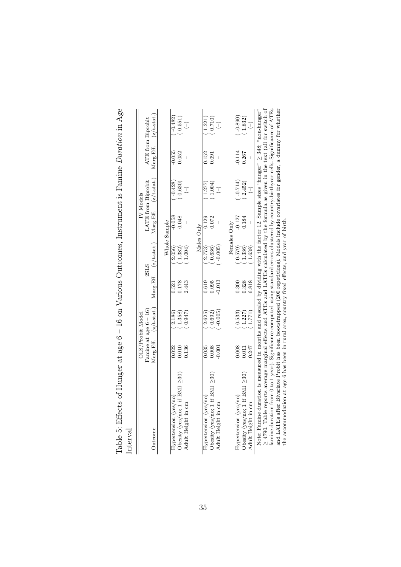| lable 5: Enects of Hunger at age o Ho On Various Outcomes, Instrument is rainine Duration in Age<br>Interva.                                                                                                                                                                     |           |                        |           |               |              |                        |            |                        |
|----------------------------------------------------------------------------------------------------------------------------------------------------------------------------------------------------------------------------------------------------------------------------------|-----------|------------------------|-----------|---------------|--------------|------------------------|------------|------------------------|
|                                                                                                                                                                                                                                                                                  |           |                        |           |               |              |                        |            |                        |
|                                                                                                                                                                                                                                                                                  |           | OLS/Probit Model       |           |               |              | IV Models              |            |                        |
|                                                                                                                                                                                                                                                                                  |           | Famine at age $6-16$ ) |           | 2SLS          |              | LATE from Biprobit     |            | ATE from Biprobit      |
| Outcome                                                                                                                                                                                                                                                                          | Marg.Eff. | $(z/t-stat.)$          | Marg.Eff. | $(z/t-stat.)$ | Maxg.Eff.    | $(z/t-stat.)$          | Marg. Eff. | $(z/t-stat.)$          |
|                                                                                                                                                                                                                                                                                  |           |                        |           |               | Whole Sample |                        |            |                        |
| $Hyp$ ertension $(yes/no)$                                                                                                                                                                                                                                                       | 0.022     | 2.186                  | 0.521     | 2.056         | $-0.058$     | $-0.428$               | $-0.055$   | $-0.482$               |
| Obesity (yes/no; 1 if BMI $\geq$ 30)                                                                                                                                                                                                                                             | 0.010     | 1.358)                 | 0.178     | 1.382         | 0.048        | 0.630)                 | 0.052      | 0.551                  |
| Adult Height in cm                                                                                                                                                                                                                                                               | 0.136     | 0.947)                 | 2.443     | 1.004)        |              | $\widehat{\mathbb{C}}$ |            | $\widehat{\mathbb{C}}$ |
|                                                                                                                                                                                                                                                                                  |           |                        |           |               | Males Only   |                        |            |                        |
| $Hyp$ ertension $(yes/no)$                                                                                                                                                                                                                                                       | 0.035     | 2.625                  | 0.619     | 2.773         | 0.129        | 1.277                  | 0.152      | 1.221)                 |
| Obesity (yes/no; 1 if BMI $\geq$ 30)                                                                                                                                                                                                                                             | 0.008     | 0.692)                 | 0.095     | 0.636)        | 0.072        | 1.004)                 | 0.091      | 0.710)                 |
| Adult Height in cm                                                                                                                                                                                                                                                               | $-0.001$  | $-0.005$               | $-0.013$  | $-0.005$      |              | $\widehat{\mathbb{C}}$ |            | $\widehat{\mathbb{C}}$ |
|                                                                                                                                                                                                                                                                                  |           |                        |           |               | Females Only |                        |            |                        |
| Hypertension (yes/no)                                                                                                                                                                                                                                                            | 0.008     | 0.533                  | 0.300     | 0.579         | $-0.127$     | $-0.714$               | $-0.114$   | $-0.890$               |
| Obesity (yes/no; 1 if BMI $\geq$ 30)                                                                                                                                                                                                                                             | 0.011     | 1.227                  | 0.328     | 1.336)        | 0.184        | 2.452                  | 0.267      | 1.832                  |
| Adult Height in cm                                                                                                                                                                                                                                                               | 0.247     | 1.771)                 | 6.818     | 1.638         |              |                        |            |                        |
| Note: Famine duration is measured in months and rescaled by dividing with the factor 12. Sample sizes "hunger" $\geq$ 348; "non-hunger"                                                                                                                                          |           |                        |           |               |              |                        |            |                        |
| $\geq$ 4790. Table reports average marginal effects and ATEs and LATEs calculated by the formula as given in the text (all for switch of                                                                                                                                         |           |                        |           |               |              |                        |            |                        |
| famine duration from 0 to 1 year). Significance computed using standard errors clustered by country-birthyear cells. Significance of ATEs<br>and LATEs after Bivariate Probit has been bootstrapped (200 repetitions). Models include covariates for gender, a dummy for whether |           |                        |           |               |              |                        |            |                        |
| the accommodation at age 6 has been in rural area, country fixed effects, and year of birth                                                                                                                                                                                      |           |                        |           |               |              |                        |            |                        |
|                                                                                                                                                                                                                                                                                  |           |                        |           |               |              |                        |            |                        |

Table 5: Effects of Hunger at age 6 – 16 on Various Outcomes, Instrument is Famine *Duration* in Age  $\vec{a}$ É  $\overline{a}$  $\dot{\zeta}$  $\overline{1}$  $\frac{c}{1}$  $\mathcal{C}$  $\sim f H$ .  $E. \Gamma F$  $T_0$   $I_2$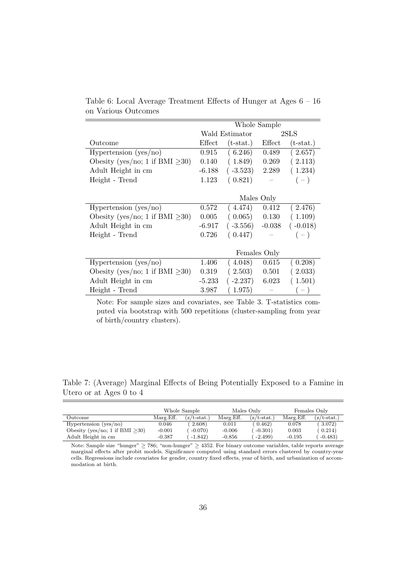|                                       |           |                | Whole Sample |             |
|---------------------------------------|-----------|----------------|--------------|-------------|
|                                       |           | Wald Estimator |              | 2SLS        |
| Outcome                               | $E$ ffect | $(t-stat.)$    | Effect       | $(t-stat.)$ |
| Hypertension (yes/no)                 | 0.915     | (6.246)        | 0.489        | (2.657)     |
| Obesity (yes/no; 1 if BMI $\geq 30$ ) | 0.140     | (1.849)        | 0.269        | (2.113)     |
| Adult Height in cm                    | $-6.188$  | $(-3.523)$     | 2.289        | (1.234)     |
| Height - Trend                        | 1.123     | (0.821)        |              | $(-)$       |
|                                       |           |                |              |             |
|                                       |           |                | Males Only   |             |
| Hypertension (yes/no)                 | 0.572     | (4.474)        | 0.412        | (2.476)     |
| Obesity (yes/no; 1 if BMI $\geq 30$ ) | 0.005     | (0.065)        | 0.130        | (1.109)     |
| Adult Height in cm                    | $-6.917$  | $(-3.556)$     | $-0.038$     | $(-0.018)$  |
| Height - Trend                        | 0.726     | (0.447)        |              | $(-)$       |
|                                       |           |                |              |             |
|                                       |           |                | Females Only |             |
| Hypertension (yes/no)                 | 1.406     | (4.048)        | 0.615        | (0.208)     |
| Obesity (yes/no; 1 if BMI $\geq$ 30)  | 0.319     | (2.503)        | 0.501        | (2.033)     |
| Adult Height in cm                    | $-5.233$  | $(-2.237)$     | 6.023        | (1.501)     |
| Height - Trend                        | 3.987     | 1.975)         |              | $-1$        |

Table 6: Local Average Treatment Effects of Hunger at Ages 6 – 16 on Various Outcomes

Note: For sample sizes and covariates, see Table 3. T-statistics computed via bootstrap with 500 repetitions (cluster-sampling from year of birth/country clusters).

Table 7: (Average) Marginal Effects of Being Potentially Exposed to a Famine in Utero or at Ages 0 to 4

|                                   |           | Whole Sample  |           | Males Only    |           | Females Only  |
|-----------------------------------|-----------|---------------|-----------|---------------|-----------|---------------|
| Outcome                           | Marg.Eff. | $(z/t-stat.)$ | Marg.Eff. | $(z/t-stat.)$ | Marg.Eff. | $(z/t-stat.)$ |
| Hypertension (yes/no)             | 0.046     | 2.608)        | 0.011     | 0.462)        | 0.078     | 3.072)        |
| Obesity (yes/no; 1 if BMI $>30$ ) | $-0.001$  | $-0.070)$     | $-0.006$  | $-0.301)$     | 0.003     | (0.214)       |
| Adult Height in cm                | $-0.387$  | $-1.842$      | $-0.856$  | $-2.499$      | $-0.195$  | $-0.483$      |

Note: Sample size "hunger" *≥* 786; "non-hunger" *≥* 4352. For binary outcome variables, table reports average marginal effects after probit models. Significance computed using standard errors clustered by country-year cells. Regressions include covariates for gender, country fixed effects, year of birth, and urbanization of accommodation at birth.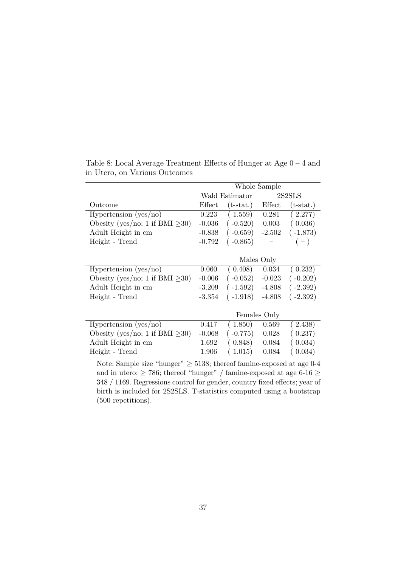|                                       |          |                | Whole Sample |                     |
|---------------------------------------|----------|----------------|--------------|---------------------|
|                                       |          | Wald Estimator |              | 2S <sub>2</sub> SLS |
| Outcome                               | Effect   | $(t-stat.)$    | Effect       | $(t-stat.)$         |
| Hypertension $(yes/no)$               | 0.223    | (1.559)        | 0.281        | (2.277)             |
| Obesity (yes/no; 1 if BMI $\geq 30$ ) | $-0.036$ | $(-0.520)$     | 0.003        | (0.036)             |
| Adult Height in cm                    | $-0.838$ | $(-0.659)$     | $-2.502$     | $(-1.873)$          |
| Height - Trend                        | $-0.792$ | $(-0.865)$     |              | $(-)$               |
|                                       |          |                |              |                     |
|                                       |          |                | Males Only   |                     |
| Hypertension (yes/no)                 | 0.060    | (0.408)        | 0.034        | (0.232)             |
| Obesity (yes/no; 1 if BMI $\geq 30$ ) | $-0.006$ | $(-0.052)$     | $-0.023$     | $(-0.202)$          |
| Adult Height in cm                    | $-3.209$ | $(-1.592)$     | $-4.808$     | $(-2.392)$          |
| Height - Trend                        | $-3.354$ | $(-1.918)$     | $-4.808$     | $(-2.392)$          |
|                                       |          |                |              |                     |
|                                       |          |                | Females Only |                     |
| Hypertension (yes/no)                 | 0.417    | (1.850)        | 0.569        | (2.438)             |
| Obesity (yes/no; 1 if BMI $\geq 30$ ) | $-0.068$ | $(-0.775)$     | 0.028        | (0.237)             |
| Adult Height in cm                    | 1.692    | (0.848)        | 0.084        | (0.034)             |
| Height - Trend                        | 1.906    | (1.015)        | 0.084        | (0.034)             |
|                                       |          |                |              |                     |

Table 8: Local Average Treatment Effects of Hunger at Age 0 – 4 and in Utero, on Various Outcomes

Note: Sample size "hunger"  $\geq$  5138; thereof famine-exposed at age 0-4 and in utero:  $\geq$  786; thereof "hunger" / famine-exposed at age 6-16  $\geq$ 348 / 1169. Regressions control for gender, country fixed effects; year of birth is included for 2S2SLS. T-statistics computed using a bootstrap (500 repetitions).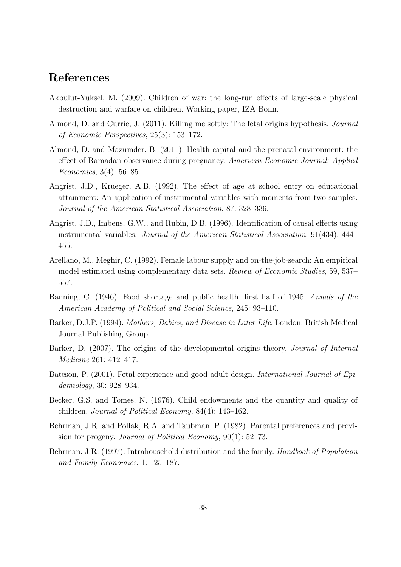## **References**

- Akbulut-Yuksel, M. (2009). Children of war: the long-run effects of large-scale physical destruction and warfare on children. Working paper, IZA Bonn.
- Almond, D. and Currie, J. (2011). Killing me softly: The fetal origins hypothesis. *Journal of Economic Perspectives*, 25(3): 153–172.
- Almond, D. and Mazumder, B. (2011). Health capital and the prenatal environment: the effect of Ramadan observance during pregnancy. *American Economic Journal: Applied Economics*, 3(4): 56–85.
- Angrist, J.D., Krueger, A.B. (1992). The effect of age at school entry on educational attainment: An application of instrumental variables with moments from two samples. *Journal of the American Statistical Association*, 87: 328–336.
- Angrist, J.D., Imbens, G.W., and Rubin, D.B. (1996). Identification of causal effects using instrumental variables. *Journal of the American Statistical Association*, 91(434): 444– 455.
- Arellano, M., Meghir, C. (1992). Female labour supply and on-the-job-search: An empirical model estimated using complementary data sets. *Review of Economic Studies*, 59, 537– 557.
- Banning, C. (1946). Food shortage and public health, first half of 1945. *Annals of the American Academy of Political and Social Science*, 245: 93–110.
- Barker, D.J.P. (1994). *Mothers, Babies, and Disease in Later Life*. London: British Medical Journal Publishing Group.
- Barker, D. (2007). The origins of the developmental origins theory, *Journal of Internal Medicine* 261: 412–417.
- Bateson, P. (2001). Fetal experience and good adult design. *International Journal of Epidemiology*, 30: 928–934.
- Becker, G.S. and Tomes, N. (1976). Child endowments and the quantity and quality of children. *Journal of Political Economy*, 84(4): 143–162.
- Behrman, J.R. and Pollak, R.A. and Taubman, P. (1982). Parental preferences and provision for progeny. *Journal of Political Economy*, 90(1): 52–73.
- Behrman, J.R. (1997). Intrahousehold distribution and the family. *Handbook of Population and Family Economics*, 1: 125–187.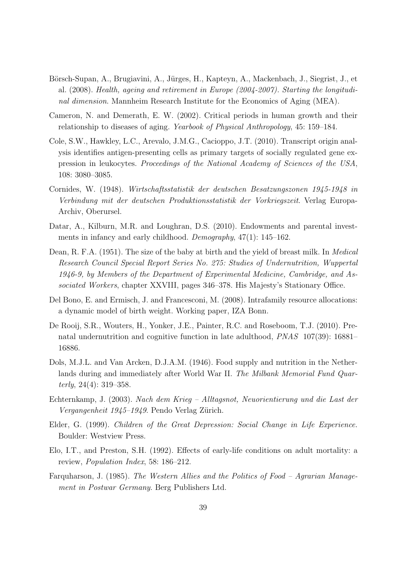- Börsch-Supan, A., Brugiavini, A., Jürges, H., Kapteyn, A., Mackenbach, J., Siegrist, J., et al. (2008). *Health, ageing and retirement in Europe (2004-2007). Starting the longitudinal dimension*. Mannheim Research Institute for the Economics of Aging (MEA).
- Cameron, N. and Demerath, E. W. (2002). Critical periods in human growth and their relationship to diseases of aging. *Yearbook of Physical Anthropology*, 45: 159–184.
- Cole, S.W., Hawkley, L.C., Arevalo, J.M.G., Cacioppo, J.T. (2010). Transcript origin analysis identifies antigen-presenting cells as primary targets of socially regulated gene expression in leukocytes. *Proceedings of the National Academy of Sciences of the USA*, 108: 3080–3085.
- Cornides, W. (1948). *Wirtschaftsstatistik der deutschen Besatzungszonen 1945-1948 in Verbindung mit der deutschen Produktionsstatistik der Vorkriegszeit*. Verlag Europa-Archiv, Oberursel.
- Datar, A., Kilburn, M.R. and Loughran, D.S. (2010). Endowments and parental investments in infancy and early childhood. *Demography*, 47(1): 145–162.
- Dean, R. F.A. (1951). The size of the baby at birth and the yield of breast milk. In *Medical Research Council Special Report Series No. 275: Studies of Undernutrition, Wuppertal 1946-9, by Members of the Department of Experimental Medicine, Cambridge, and Associated Workers*, chapter XXVIII, pages 346–378. His Majesty's Stationary Office.
- Del Bono, E. and Ermisch, J. and Francesconi, M. (2008). Intrafamily resource allocations: a dynamic model of birth weight. Working paper, IZA Bonn.
- De Rooij, S.R., Wouters, H., Yonker, J.E., Painter, R.C. and Roseboom, T.J. (2010). Prenatal undernutrition and cognitive function in late adulthood, *PNAS* 107(39): 16881– 16886.
- Dols, M.J.L. and Van Arcken, D.J.A.M. (1946). Food supply and nutrition in the Netherlands during and immediately after World War II. *The Milbank Memorial Fund Quarterly*, 24(4): 319–358.
- Echternkamp, J. (2003). *Nach dem Krieg Alltagsnot, Neuorientierung und die Last der Vergangenheit 1945–1949*. Pendo Verlag Zürich.
- Elder, G. (1999). *Children of the Great Depression: Social Change in Life Experience.* Boulder: Westview Press.
- Elo, I.T., and Preston, S.H. (1992). Effects of early-life conditions on adult mortality: a review, *Population Index*, 58: 186–212.
- Farquharson, J. (1985). *The Western Allies and the Politics of Food Agrarian Management in Postwar Germany*. Berg Publishers Ltd.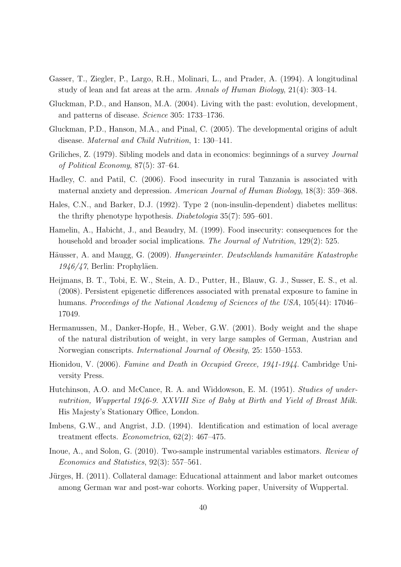- Gasser, T., Ziegler, P., Largo, R.H., Molinari, L., and Prader, A. (1994). A longitudinal study of lean and fat areas at the arm. *Annals of Human Biology*, 21(4): 303–14.
- Gluckman, P.D., and Hanson, M.A. (2004). Living with the past: evolution, development, and patterns of disease. *Science* 305: 1733–1736.
- Gluckman, P.D., Hanson, M.A., and Pinal, C. (2005). The developmental origins of adult disease. *Maternal and Child Nutrition*, 1: 130–141.
- Griliches, Z. (1979). Sibling models and data in economics: beginnings of a survey *Journal of Political Economy*, 87(5): 37–64.
- Hadley, C. and Patil, C. (2006). Food insecurity in rural Tanzania is associated with maternal anxiety and depression. *American Journal of Human Biology*, 18(3): 359–368.
- Hales, C.N., and Barker, D.J. (1992). Type 2 (non-insulin-dependent) diabetes mellitus: the thrifty phenotype hypothesis. *Diabetologia* 35(7): 595–601.
- Hamelin, A., Habicht, J., and Beaudry, M. (1999). Food insecurity: consequences for the household and broader social implications. *The Journal of Nutrition*, 129(2): 525.
- Häusser, A. and Maugg, G. (2009). *Hungerwinter. Deutschlands humanitäre Katastrophe*  $1946/47$ , Berlin: Prophyläen.
- Heijmans, B. T., Tobi, E. W., Stein, A. D., Putter, H., Blauw, G. J., Susser, E. S., et al. (2008). Persistent epigenetic differences associated with prenatal exposure to famine in humans. *Proceedings of the National Academy of Sciences of the USA*, 105(44): 17046– 17049.
- Hermanussen, M., Danker-Hopfe, H., Weber, G.W. (2001). Body weight and the shape of the natural distribution of weight, in very large samples of German, Austrian and Norwegian conscripts. *International Journal of Obesity*, 25: 1550–1553.
- Hionidou, V. (2006). *Famine and Death in Occupied Greece, 1941-1944*. Cambridge University Press.
- Hutchinson, A.O. and McCance, R. A. and Widdowson, E. M. (1951). *Studies of undernutrition, Wuppertal 1946-9. XXVIII Size of Baby at Birth and Yield of Breast Milk.* His Majesty's Stationary Office, London.
- Imbens, G.W., and Angrist, J.D. (1994). Identification and estimation of local average treatment effects. *Econometrica*, 62(2): 467–475.
- Inoue, A., and Solon, G. (2010). Two-sample instrumental variables estimators. *Review of Economics and Statistics*, 92(3): 557–561.
- Jürges, H. (2011). Collateral damage: Educational attainment and labor market outcomes among German war and post-war cohorts. Working paper, University of Wuppertal.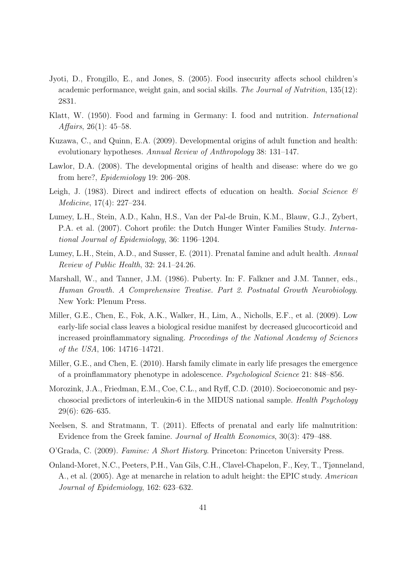- Jyoti, D., Frongillo, E., and Jones, S. (2005). Food insecurity affects school children's academic performance, weight gain, and social skills. *The Journal of Nutrition*, 135(12): 2831.
- Klatt, W. (1950). Food and farming in Germany: I. food and nutrition. *International Affairs*, 26(1): 45–58.
- Kuzawa, C., and Quinn, E.A. (2009). Developmental origins of adult function and health: evolutionary hypotheses. *Annual Review of Anthropology* 38: 131–147.
- Lawlor, D.A. (2008). The developmental origins of health and disease: where do we go from here?, *Epidemiology* 19: 206–208.
- Leigh, J. (1983). Direct and indirect effects of education on health. *Social Science & Medicine*, 17(4): 227–234.
- Lumey, L.H., Stein, A.D., Kahn, H.S., Van der Pal-de Bruin, K.M., Blauw, G.J., Zybert, P.A. et al. (2007). Cohort profile: the Dutch Hunger Winter Families Study. *International Journal of Epidemiology*, 36: 1196–1204.
- Lumey, L.H., Stein, A.D., and Susser, E. (2011). Prenatal famine and adult health. *Annual Review of Public Health*, 32: 24.1–24.26.
- Marshall, W., and Tanner, J.M. (1986). Puberty. In: F. Falkner and J.M. Tanner, eds., *Human Growth. A Comprehensive Treatise. Part 2. Postnatal Growth Neurobiology*. New York: Plenum Press.
- Miller, G.E., Chen, E., Fok, A.K., Walker, H., Lim, A., Nicholls, E.F., et al. (2009). Low early-life social class leaves a biological residue manifest by decreased glucocorticoid and increased proinflammatory signaling. *Proceedings of the National Academy of Sciences of the USA*, 106: 14716–14721.
- Miller, G.E., and Chen, E. (2010). Harsh family climate in early life presages the emergence of a proinflammatory phenotype in adolescence. *Psychological Science* 21: 848–856.
- Morozink, J.A., Friedman, E.M., Coe, C.L., and Ryff, C.D. (2010). Socioeconomic and psychosocial predictors of interleukin-6 in the MIDUS national sample. *Health Psychology* 29(6): 626–635.
- Neelsen, S. and Stratmann, T. (2011). Effects of prenatal and early life malnutrition: Evidence from the Greek famine. *Journal of Health Economics*, 30(3): 479–488.
- O'Grada, C. (2009). *Famine: A Short History*. Princeton: Princeton University Press.
- Onland-Moret, N.C., Peeters, P.H., Van Gils, C.H., Clavel-Chapelon, F., Key, T., Tjønneland, A., et al. (2005). Age at menarche in relation to adult height: the EPIC study. *American Journal of Epidemiology*, 162: 623–632.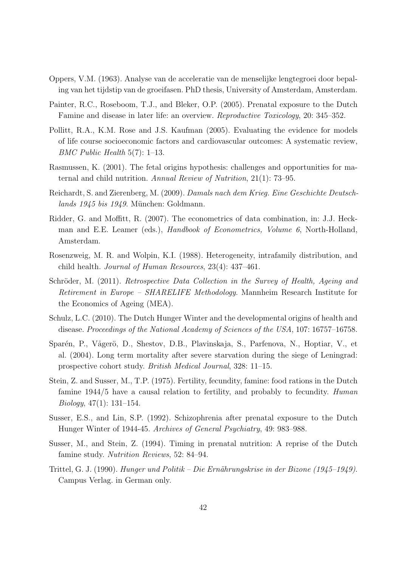- Oppers, V.M. (1963). Analyse van de acceleratie van de menselijke lengtegroei door bepaling van het tijdstip van de groeifasen. PhD thesis, University of Amsterdam, Amsterdam.
- Painter, R.C., Roseboom, T.J., and Bleker, O.P. (2005). Prenatal exposure to the Dutch Famine and disease in later life: an overview. *Reproductive Toxicology*, 20: 345–352.
- Pollitt, R.A., K.M. Rose and J.S. Kaufman (2005). Evaluating the evidence for models of life course socioeconomic factors and cardiovascular outcomes: A systematic review, *BMC Public Health* 5(7): 1–13.
- Rasmussen, K. (2001). The fetal origins hypothesis: challenges and opportunities for maternal and child nutrition. *Annual Review of Nutrition*, 21(1): 73–95.
- Reichardt, S. and Zierenberg, M. (2009). *Damals nach dem Krieg. Eine Geschichte Deutschlands 1945 bis 1949*. München: Goldmann.
- Ridder, G. and Moffitt, R. (2007). The econometrics of data combination, in: J.J. Heckman and E.E. Leamer (eds.), *Handbook of Econometrics, Volume 6*, North-Holland, Amsterdam.
- Rosenzweig, M. R. and Wolpin, K.I. (1988). Heterogeneity, intrafamily distribution, and child health. *Journal of Human Resources*, 23(4): 437–461.
- Schröder, M. (2011). *Retrospective Data Collection in the Survey of Health, Ageing and Retirement in Europe – SHARELIFE Methodology*. Mannheim Research Institute for the Economics of Ageing (MEA).
- Schulz, L.C. (2010). The Dutch Hunger Winter and the developmental origins of health and disease. *Proceedings of the National Academy of Sciences of the USA*, 107: 16757–16758.
- Sparén, P., Vågerö, D., Shestov, D.B., Plavinskaja, S., Parfenova, N., Hoptiar, V., et al. (2004). Long term mortality after severe starvation during the siege of Leningrad: prospective cohort study. *British Medical Journal*, 328: 11–15.
- Stein, Z. and Susser, M., T.P. (1975). Fertility, fecundity, famine: food rations in the Dutch famine 1944/5 have a causal relation to fertility, and probably to fecundity. *Human Biology*, 47(1): 131–154.
- Susser, E.S., and Lin, S.P. (1992). Schizophrenia after prenatal exposure to the Dutch Hunger Winter of 1944-45. *Archives of General Psychiatry*, 49: 983–988.
- Susser, M., and Stein, Z. (1994). Timing in prenatal nutrition: A reprise of the Dutch famine study. *Nutrition Reviews*, 52: 84–94.
- Trittel, G. J. (1990). *Hunger und Politik Die Ernährungskrise in der Bizone (1945–1949)*. Campus Verlag. in German only.